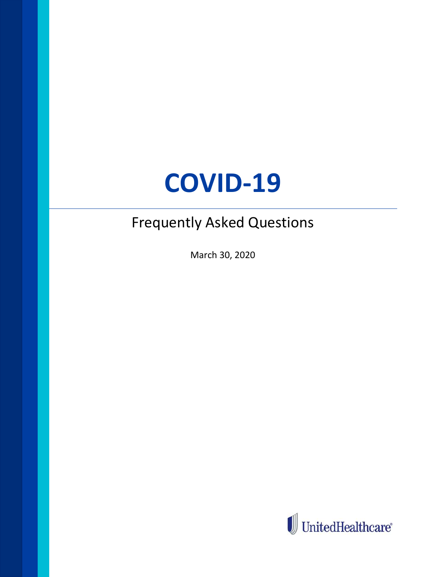# **COVID-19**

## Frequently Asked Questions

March 30, 2020

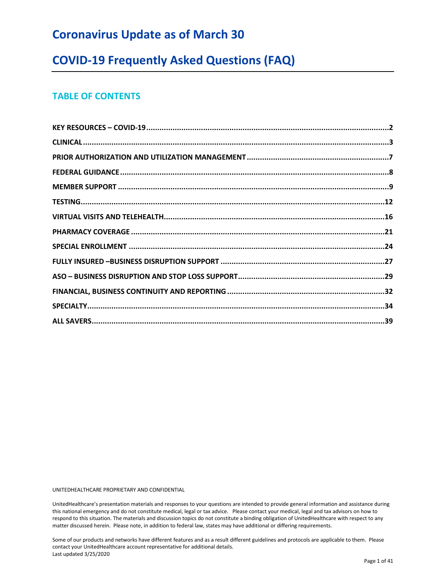## **Coronavirus Update as of March 30**

## **COVID-19 Frequently Asked Questions (FAQ)**

## **TABLE OF CONTENTS**

UNITEDHEALTHCARE PROPRIETARY AND CONFIDENTIAL

UnitedHealthcare's presentation materials and responses to your questions are intended to provide general information and assistance during this national emergency and do not constitute medical, legal or tax advice. Please contact your medical, legal and tax advisors on how to respond to this situation. The materials and discussion topics do not constitute a binding obligation of UnitedHealthcare with respect to any matter discussed herein. Please note, in addition to federal law, states may have additional or differing requirements.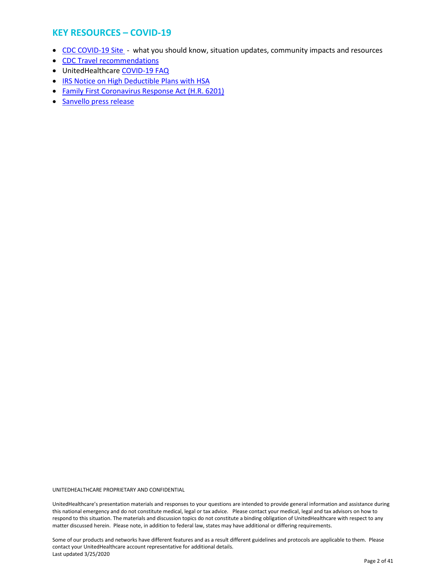## <span id="page-2-0"></span>**KEY RESOURCES – COVID-19**

- [CDC COVID-19 Site](https://www.cdc.gov/coronavirus/2019-nCoV/index.html)  what you should know, situation updates, community impacts and resources
- [CDC Travel recommendations](https://www.cdc.gov/coronavirus/2019-ncov/travelers/index.html?hpid=ec0df367-28c1-4e0e-9fe3-20521c31f849&hlkid=0d966159d56741d1a8616b32131d2c62&hctky=)
- UnitedHealthcare [COVID-19 FAQ](https://www.uhc.com/)
- [IRS Notice on High Deductible Plans with HSA](https://www.irs.gov/pub/irs-drop/n-20-15.pdf)
- [Family First Coronavirus Response Act \(H.R. 6201\)](https://www.congress.gov/bill/116th-congress/house-bill/6201)
- [Sanvello press release](https://www.unitedhealthgroup.com/newsroom/2020/2020-03-20-sanvello-premium-access-covid-19.html)

UNITEDHEALTHCARE PROPRIETARY AND CONFIDENTIAL

UnitedHealthcare's presentation materials and responses to your questions are intended to provide general information and assistance during this national emergency and do not constitute medical, legal or tax advice. Please contact your medical, legal and tax advisors on how to respond to this situation. The materials and discussion topics do not constitute a binding obligation of UnitedHealthcare with respect to any matter discussed herein. Please note, in addition to federal law, states may have additional or differing requirements.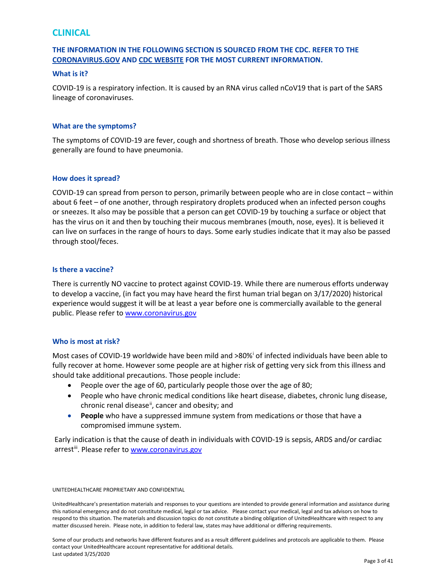## <span id="page-3-0"></span>**CLINICAL**

## **THE INFORMATION IN THE FOLLOWING SECTION IS SOURCED FROM THE CDC. REFER TO THE [CORONAVIRUS.GOV](https://www.coronavirus.gov/) AND [CDC WEBSITE](https://www.cdc.gov/coronavirus/2019-nCoV/index.html) FOR THE MOST CURRENT INFORMATION.**

#### **What is it?**

COVID-19 is a respiratory infection. It is caused by an RNA virus called nCoV19 that is part of the SARS lineage of coronaviruses.

#### **What are the symptoms?**

The symptoms of COVID-19 are fever, cough and shortness of breath. Those who develop serious illness generally are found to have pneumonia.

#### **How does it spread?**

COVID-19 can spread from person to person, primarily between people who are in close contact – within about 6 feet – of one another, through respiratory droplets produced when an infected person coughs or sneezes. It also may be possible that a person can get COVID-19 by touching a surface or object that has the virus on it and then by touching their mucous membranes (mouth, nose, eyes). It is believed it can live on surfaces in the range of hours to days. Some early studies indicate that it may also be passed through stool/feces.

#### **Is there a vaccine?**

There is currently NO vaccine to protect against COVID-19. While there are numerous efforts underway to develop a vaccine, (in fact you may have heard the first human trial began on 3/17/2020) historical experience would suggest it will be at least a year before one is commercially available to the general public. Please refer to [www.coronavirus.gov](http://www.coronavirus.gov/)

#### **Who is most at risk?**

Most cases of COVID-19 worldwide have been mild and >80%[i](#page-41-0) of infected individuals have been able to fully recover at home. However some people are at higher risk of getting very sick from this illness and should take additional precautions. Those people include:

- People over the age of 60, particularly people those over the age of 80;
- People who have chronic medical conditions like heart disease, diabetes, chronic lung disease, chronic renal disease<sup>ii</sup>, cancer and obesity; and
- **People** who have a suppressed immune system from medications or those that have a compromised immune system.

Early indication is that the cause of death in individuals with COVID-19 is sepsis, ARDS and/or cardiac arrest<sup>[iii](#page-41-2)</sup>. Please refer to [www.coronavirus.gov](http://www.coronavirus.gov/)

#### UNITEDHEALTHCARE PROPRIETARY AND CONFIDENTIAL

UnitedHealthcare's presentation materials and responses to your questions are intended to provide general information and assistance during this national emergency and do not constitute medical, legal or tax advice. Please contact your medical, legal and tax advisors on how to respond to this situation. The materials and discussion topics do not constitute a binding obligation of UnitedHealthcare with respect to any matter discussed herein. Please note, in addition to federal law, states may have additional or differing requirements.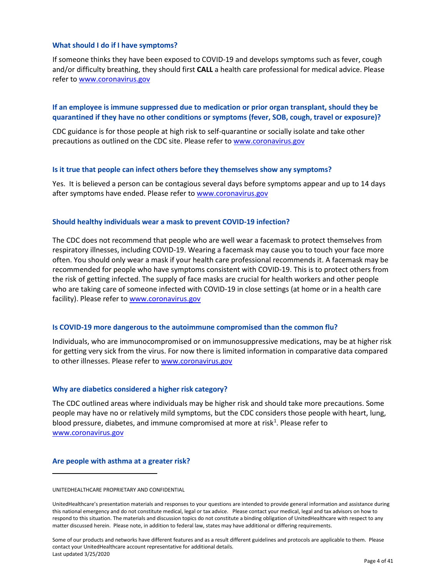#### **What should I do if I have symptoms?**

If someone thinks they have been exposed to COVID-19 and develops symptoms such as fever, cough and/or difficulty breathing, they should first **CALL** a health care professional for medical advice. Please refer t[o www.coronavirus.gov](http://www.coronavirus.gov/)

### **If an employee is immune suppressed due to medication or prior organ transplant, should they be quarantined if they have no other conditions or symptoms (fever, SOB, cough, travel or exposure)?**

CDC guidance is for those people at high risk to self-quarantine or socially isolate and take other precautions as outlined on the CDC site. Please refer t[o www.coronavirus.gov](http://www.coronavirus.gov/)

#### **Is it true that people can infect others before they themselves show any symptoms?**

Yes. It is believed a person can be contagious several days before symptoms appear and up to 14 days after symptoms have ended. Please refer to [www.coronavirus.gov](http://www.coronavirus.gov/)

#### **Should healthy individuals wear a mask to prevent COVID-19 infection?**

The CDC does not recommend that people who are well wear a facemask to protect themselves from respiratory illnesses, including COVID-19. Wearing a facemask may cause you to touch your face more often. You should only wear a mask if your health care professional recommends it. A facemask may be recommended for people who have symptoms consistent with COVID-19. This is to protect others from the risk of getting infected. The supply of face masks are crucial for health workers and other people who are taking care of someone infected with COVID-19 in close settings (at home or in a health care facility). Please refer to [www.coronavirus.gov](http://www.coronavirus.gov/)

#### **Is COVID-19 more dangerous to the autoimmune compromised than the common flu?**

Individuals, who are immunocompromised or on immunosuppressive medications, may be at higher risk for getting very sick from the virus. For now there is limited information in comparative data compared to other illnesses. Please refer to [www.coronavirus.gov](http://www.coronavirus.gov/)

#### **Why are diabetics considered a higher risk category?**

The CDC outlined areas where individuals may be higher risk and should take more precautions. Some people may have no or relatively mild symptoms, but the CDC considers those people with heart, lung, blood pressure, diabetes, and immune compromised at more at risk<sup>[1](#page-4-0)</sup>. Please refer to [www.coronavirus.gov](http://www.coronavirus.gov/)

#### **Are people with asthma at a greater risk?**

<span id="page-4-0"></span>UNITEDHEALTHCARE PROPRIETARY AND CONFIDENTIAL

UnitedHealthcare's presentation materials and responses to your questions are intended to provide general information and assistance during this national emergency and do not constitute medical, legal or tax advice. Please contact your medical, legal and tax advisors on how to respond to this situation. The materials and discussion topics do not constitute a binding obligation of UnitedHealthcare with respect to any matter discussed herein. Please note, in addition to federal law, states may have additional or differing requirements.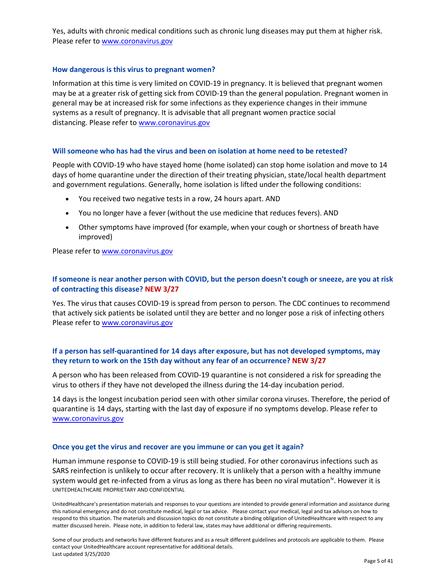Yes, adults with chronic medical conditions such as chronic lung diseases may put them at higher risk. Please refer t[o www.coronavirus.gov](http://www.coronavirus.gov/)

### **How dangerous is this virus to pregnant women?**

Information at this time is very limited on COVID-19 in pregnancy. It is believed that pregnant women may be at a greater risk of getting sick from COVID-19 than the general population. Pregnant women in general may be at increased risk for some infections as they experience changes in their immune systems as a result of pregnancy. It is advisable that all pregnant women practice social distancing. Please refer to [www.coronavirus.gov](http://www.coronavirus.gov/)

#### **Will someone who has had the virus and been on isolation at home need to be retested?**

People with COVID-19 who have stayed home (home isolated) can stop home isolation and move to 14 days of home quarantine under the direction of their treating physician, state/local health department and government regulations. Generally, home isolation is lifted under the following conditions:

- You received two negative tests in a row, 24 hours apart. AND
- You no longer have a fever (without the use medicine that reduces fevers). AND
- Other symptoms have improved (for example, when your cough or shortness of breath have improved)

Please refer t[o www.coronavirus.gov](http://www.coronavirus.gov/)

## **If someone is near another person with COVID, but the person doesn't cough or sneeze, are you at risk of contracting this disease? NEW 3/27**

Yes. The virus that causes COVID-19 is spread from person to person. The CDC continues to recommend that actively sick patients be isolated until they are better and no longer pose a risk of infecting others Please refer t[o www.coronavirus.gov](http://www.coronavirus.gov/)

## **If a person has self-quarantined for 14 days after exposure, but has not developed symptoms, may they return to work on the 15th day without any fear of an occurrence? NEW 3/27**

A person who has been released from COVID-19 quarantine is not considered a risk for spreading the virus to others if they have not developed the illness during the 14-day incubation period.

14 days is the longest incubation period seen with other similar corona viruses. Therefore, the period of quarantine is 14 days, starting with the last day of exposure if no symptoms develop. Please refer to [www.coronavirus.gov](http://www.coronavirus.gov/)

#### **Once you get the virus and recover are you immune or can you get it again?**

UNITEDHEALTHCARE PROPRIETARY AND CONFIDENTIAL Human immune response to COVID-19 is still being studied. For other coronavirus infections such as SARS reinfection is unlikely to occur after recovery. It is unlikely that a person with a healthy immune system would get re-infected from a virus as long as there has been no viral mutation<sup>iv</sup>. However it is

UnitedHealthcare's presentation materials and responses to your questions are intended to provide general information and assistance during this national emergency and do not constitute medical, legal or tax advice. Please contact your medical, legal and tax advisors on how to respond to this situation. The materials and discussion topics do not constitute a binding obligation of UnitedHealthcare with respect to any matter discussed herein. Please note, in addition to federal law, states may have additional or differing requirements.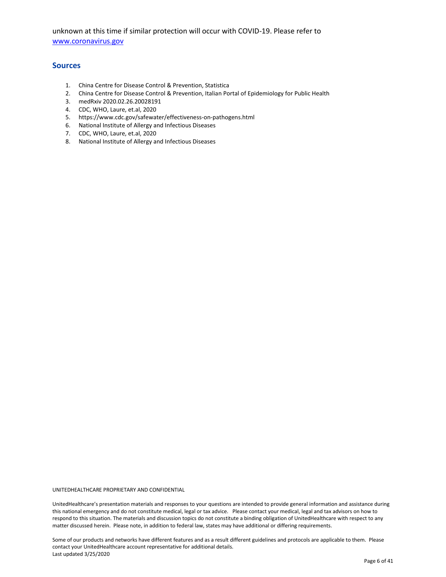unknown at this time if similar protection will occur with COVID-19. Please refer to [www.coronavirus.gov](http://www.coronavirus.gov/)

#### **Sources**

- 1. China Centre for Disease Control & Prevention, Statistica
- 2. China Centre for Disease Control & Prevention, Italian Portal of Epidemiology for Public Health
- 3. medRxiv 2020.02.26.20028191
- 4. CDC, WHO, Laure, et.al, 2020
- 5. https://www.cdc.gov/safewater/effectiveness-on-pathogens.html
- 6. National Institute of Allergy and Infectious Diseases
- 7. CDC, WHO, Laure, et.al, 2020
- 8. National Institute of Allergy and Infectious Diseases

UNITEDHEALTHCARE PROPRIETARY AND CONFIDENTIAL

UnitedHealthcare's presentation materials and responses to your questions are intended to provide general information and assistance during this national emergency and do not constitute medical, legal or tax advice. Please contact your medical, legal and tax advisors on how to respond to this situation. The materials and discussion topics do not constitute a binding obligation of UnitedHealthcare with respect to any matter discussed herein. Please note, in addition to federal law, states may have additional or differing requirements.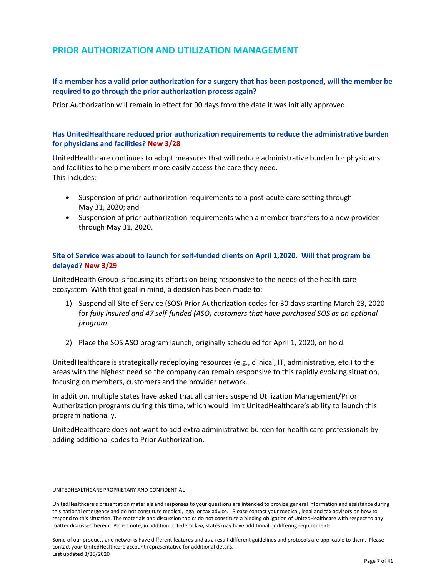## <span id="page-7-0"></span>**PRIOR AUTHORIZATION AND UTILIZATION MANAGEMENT**

## **If a member has a valid prior authorization for a surgery that has been postponed, will the member be required to go through the prior authorization process again?**

Prior Authorization will remain in effect for 90 days from the date it was initially approved.

## **Has UnitedHealthcare reduced prior authorization requirements to reduce the administrative burden for physicians and facilities? New 3/28**

UnitedHealthcare continues to adopt measures that will reduce administrative burden for physicians and facilities to help members more easily access the care they need. This includes:

- Suspension of prior authorization requirements to a post-acute care setting through May 31, 2020; and
- Suspension of prior authorization requirements when a member transfers to a new provider through May 31, 2020.

## **Site of Service was about to launch for self-funded clients on April 1,2020. Will that program be delayed? New 3/29**

UnitedHealth Group is focusing its efforts on being responsive to the needs of the health care ecosystem. With that goal in mind, a decision has been made to:

- 1) Suspend all Site of Service (SOS) Prior Authorization codes for 30 days starting March 23, 2020 for *fully insured and 47 self-funded (ASO) customers that have purchased SOS as an optional program.*
- 2) Place the SOS ASO program launch, originally scheduled for April 1, 2020, on hold.

UnitedHealthcare is strategically redeploying resources (e.g., clinical, IT, administrative, etc.) to the areas with the highest need so the company can remain responsive to this rapidly evolving situation, focusing on members, customers and the provider network.

In addition, multiple states have asked that all carriers suspend Utilization Management/Prior Authorization programs during this time, which would limit UnitedHealthcare's ability to launch this program nationally.

UnitedHealthcare does not want to add extra administrative burden for health care professionals by adding additional codes to Prior Authorization.

#### UNITEDHEALTHCARE PROPRIETARY AND CONFIDENTIAL

UnitedHealthcare's presentation materials and responses to your questions are intended to provide general information and assistance during this national emergency and do not constitute medical, legal or tax advice. Please contact your medical, legal and tax advisors on how to respond to this situation. The materials and discussion topics do not constitute a binding obligation of UnitedHealthcare with respect to any matter discussed herein. Please note, in addition to federal law, states may have additional or differing requirements.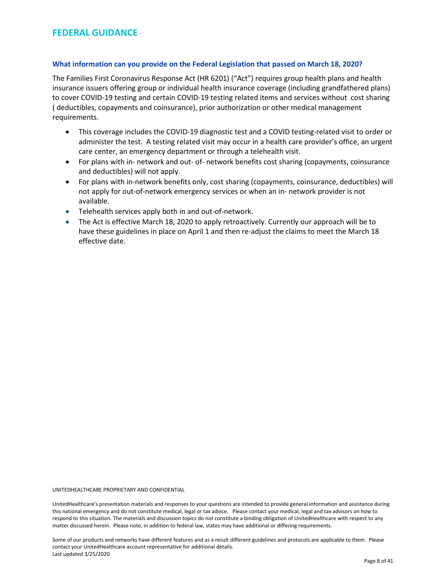#### <span id="page-8-0"></span>**What information can you provide on the Federal Legislation that passed on March 18, 2020?**

The Families First Coronavirus Response Act (HR 6201) ("Act") requires group health plans and health insurance issuers offering group or individual health insurance coverage (including grandfathered plans) to cover COVID-19 testing and certain COVID-19 testing related items and services without cost sharing ( deductibles, copayments and coinsurance), prior authorization or other medical management requirements.

- This coverage includes the COVID-19 diagnostic test and a COVID testing-related visit to order or administer the test. A testing related visit may occur in a health care provider's office, an urgent care center, an emergency department or through a telehealth visit.
- For plans with in- network and out- of- network benefits cost sharing (copayments, coinsurance and deductibles) will not apply.
- For plans with in-network benefits only, cost sharing (copayments, coinsurance, deductibles) will not apply for out-of-network emergency services or when an in- network provider is not available.
- Telehealth services apply both in and out-of-network.
- The Act is effective March 18, 2020 to apply retroactively. Currently our approach will be to have these guidelines in place on April 1 and then re-adjust the claims to meet the March 18 effective date.

UNITEDHEALTHCARE PROPRIETARY AND CONFIDENTIAL

UnitedHealthcare's presentation materials and responses to your questions are intended to provide general information and assistance during this national emergency and do not constitute medical, legal or tax advice. Please contact your medical, legal and tax advisors on how to respond to this situation. The materials and discussion topics do not constitute a binding obligation of UnitedHealthcare with respect to any matter discussed herein. Please note, in addition to federal law, states may have additional or differing requirements.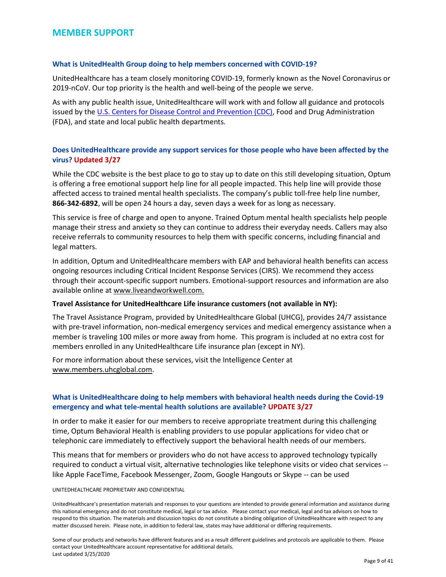## <span id="page-9-0"></span>**MEMBER SUPPORT**

#### **What is UnitedHealth Group doing to help members concerned with COVID-19?**

UnitedHealthcare has a team closely monitoring COVID-19, formerly known as the Novel Coronavirus or 2019-nCoV. Our top priority is the health and well-being of the people we serve.

As with any public health issue, UnitedHealthcare will work with and follow all guidance and protocols issued by the [U.S. Centers for Disease Control and Prevention \(CDC\),](https://www.cdc.gov/coronavirus/2019-ncov/about/index.html) Food and Drug Administration (FDA), and state and local public health departments.

## **Does UnitedHealthcare provide any support services for those people who have been affected by the virus? Updated 3/27**

While the CDC website is the best place to go to stay up to date on this still developing situation, Optum is offering a free emotional support help line for all people impacted. This help line will provide those affected access to trained mental health specialists. The company's public toll-free help line number, **866-342-6892**, will be open 24 hours a day, seven days a week for as long as necessary.

This service is free of charge and open to anyone. Trained Optum mental health specialists help people manage their stress and anxiety so they can continue to address their everyday needs. Callers may also receive referrals to community resources to help them with specific concerns, including financial and legal matters.

In addition, Optum and UnitedHealthcare members with EAP and behavioral health benefits can access ongoing resources including Critical Incident Response Services (CIRS). We recommend they access through their account-specific support numbers. Emotional-support resources and information are also available online at [www.liveandworkwell.com.](https://urldefense.com/v3/__http:/www.liveandworkwell.com/__;!!Lywf0ypNYjE!Dd3bfIPw3oFE2776-Zskx83kge52yYwHKw2U5QNfGOzPZcZNBJG3MeX-ECqWokMd8_9h$)

#### **Travel Assistance for UnitedHealthcare Life insurance customers (not available in NY):**

The Travel Assistance Program, provided by UnitedHealthcare Global (UHCG), provides 24/7 assistance with pre-travel information, non-medical emergency services and medical emergency assistance when a member is traveling 100 miles or more away from home. This program is included at no extra cost for members enrolled in any UnitedHealthcare Life insurance plan (except in NY).

For more information about these services, visit the Intelligence Center at [www.members.uhcglobal.com.](http://www.members.uhcglobal.com/)

## **What is UnitedHealthcare doing to help members with behavioral health needs during the Covid-19 emergency and what tele-mental health solutions are available? UPDATE 3/27**

In order to make it easier for our members to receive appropriate treatment during this challenging time, Optum Behavioral Health is enabling providers to use popular applications for video chat or telephonic care immediately to effectively support the behavioral health needs of our members.

This means that for members or providers who do not have access to approved technology typically required to conduct a virtual visit, alternative technologies like telephone visits or video chat services - like Apple FaceTime, Facebook Messenger, Zoom, Google Hangouts or Skype -- can be used

#### UNITEDHEALTHCARE PROPRIETARY AND CONFIDENTIAL

UnitedHealthcare's presentation materials and responses to your questions are intended to provide general information and assistance during this national emergency and do not constitute medical, legal or tax advice. Please contact your medical, legal and tax advisors on how to respond to this situation. The materials and discussion topics do not constitute a binding obligation of UnitedHealthcare with respect to any matter discussed herein. Please note, in addition to federal law, states may have additional or differing requirements.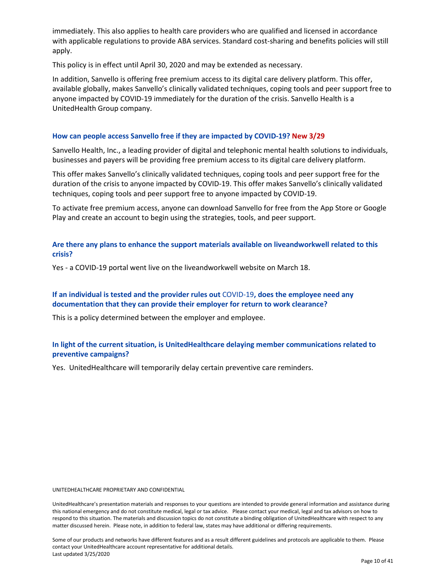immediately. This also applies to health care providers who are qualified and licensed in accordance with applicable regulations to provide ABA services. Standard cost-sharing and benefits policies will still apply.

This policy is in effect until April 30, 2020 and may be extended as necessary.

In addition, Sanvello is offering free premium access to its digital care delivery platform. This offer, available globally, makes Sanvello's clinically validated techniques, coping tools and peer support free to anyone impacted by COVID-19 immediately for the duration of the crisis. Sanvello Health is a UnitedHealth Group company.

### **How can people access Sanvello free if they are impacted by COVID-19? New 3/29**

Sanvello Health, Inc., a leading provider of digital and telephonic mental health solutions to individuals, businesses and payers will be providing free premium access to its digital care delivery platform.

This offer makes Sanvello's clinically validated techniques, coping tools and peer support free for the duration of the crisis to anyone impacted by COVID-19. This offer makes Sanvello's clinically validated techniques, coping tools and peer support free to anyone impacted by COVID-19.

To activate free premium access, anyone can download Sanvello for free from the [App Store](https://apps.apple.com/us/app/sanvello-stress-anxiety-help/id922968861) or [Google](https://play.google.com/store/apps/details?id=com.pacificalabs.pacifica&hl=en_US)  [Play](https://play.google.com/store/apps/details?id=com.pacificalabs.pacifica&hl=en_US) and create an account to begin using the strategies, tools, and peer support.

**Are there any plans to enhance the support materials available on liveandworkwell related to this crisis?**

Yes - a COVID-19 portal went live on the liveandworkwell website on March 18.

## **If an individual is tested and the provider rules out** COVID-19**, does the employee need any documentation that they can provide their employer for return to work clearance?**

This is a policy determined between the employer and employee.

## **In light of the current situation, is UnitedHealthcare delaying member communications related to preventive campaigns?**

Yes. UnitedHealthcare will temporarily delay certain preventive care reminders.

UNITEDHEALTHCARE PROPRIETARY AND CONFIDENTIAL

UnitedHealthcare's presentation materials and responses to your questions are intended to provide general information and assistance during this national emergency and do not constitute medical, legal or tax advice. Please contact your medical, legal and tax advisors on how to respond to this situation. The materials and discussion topics do not constitute a binding obligation of UnitedHealthcare with respect to any matter discussed herein. Please note, in addition to federal law, states may have additional or differing requirements.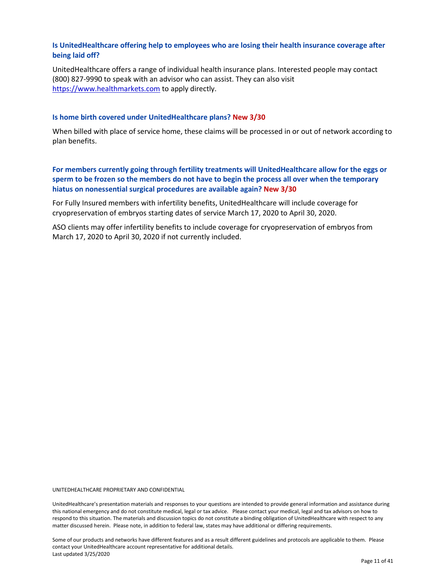## **Is UnitedHealthcare offering help to employees who are losing their health insurance coverage after being laid off?**

UnitedHealthcare offers a range of individual health insurance plans. Interested people may contact (800) 827-9990 to speak with an advisor who can assist. They can also visit [https://www.healthmarkets.com](https://www.healthmarkets.com/) to apply directly.

#### **Is home birth covered under UnitedHealthcare plans? New 3/30**

When billed with place of service home, these claims will be processed in or out of network according to plan benefits.

**For members currently going through fertility treatments will UnitedHealthcare allow for the eggs or sperm to be frozen so the members do not have to begin the process all over when the temporary hiatus on nonessential surgical procedures are available again? New 3/30**

For Fully Insured members with infertility benefits, UnitedHealthcare will include coverage for cryopreservation of embryos starting dates of service March 17, 2020 to April 30, 2020.

ASO clients may offer infertility benefits to include coverage for cryopreservation of embryos from March 17, 2020 to April 30, 2020 if not currently included.

UNITEDHEALTHCARE PROPRIETARY AND CONFIDENTIAL

UnitedHealthcare's presentation materials and responses to your questions are intended to provide general information and assistance during this national emergency and do not constitute medical, legal or tax advice. Please contact your medical, legal and tax advisors on how to respond to this situation. The materials and discussion topics do not constitute a binding obligation of UnitedHealthcare with respect to any matter discussed herein. Please note, in addition to federal law, states may have additional or differing requirements.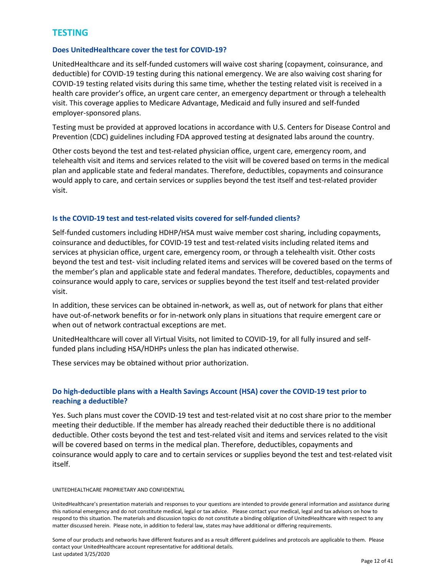## <span id="page-12-0"></span>**TESTING**

## **Does UnitedHealthcare cover the test for COVID-19?**

UnitedHealthcare and its self-funded customers will waive cost sharing (copayment, coinsurance, and deductible) for COVID-19 testing during this national emergency. We are also waiving cost sharing for COVID-19 testing related visits during this same time, whether the testing related visit is received in a health care provider's office, an urgent care center, an emergency department or through a telehealth visit. This coverage applies to Medicare Advantage, Medicaid and fully insured and self-funded employer-sponsored plans.

Testing must be provided at approved locations in accordance with U.S. Centers for Disease Control and Prevention (CDC) guidelines including FDA approved testing at designated labs around the country.

Other costs beyond the test and test-related physician office, urgent care, emergency room, and telehealth visit and items and services related to the visit will be covered based on terms in the medical plan and applicable state and federal mandates. Therefore, deductibles, copayments and coinsurance would apply to care, and certain services or supplies beyond the test itself and test-related provider visit.

### **Is the COVID-19 test and test-related visits covered for self-funded clients?**

Self-funded customers including HDHP/HSA must waive member cost sharing, including copayments, coinsurance and deductibles, for COVID-19 test and test-related visits including related items and services at physician office, urgent care, emergency room, or through a telehealth visit. Other costs beyond the test and test- visit including related items and services will be covered based on the terms of the member's plan and applicable state and federal mandates. Therefore, deductibles, copayments and coinsurance would apply to care, services or supplies beyond the test itself and test-related provider visit.

In addition, these services can be obtained in-network, as well as, out of network for plans that either have out-of-network benefits or for in-network only plans in situations that require emergent care or when out of network contractual exceptions are met.

UnitedHealthcare will cover all Virtual Visits, not limited to COVID-19, for all fully insured and selffunded plans including HSA/HDHPs unless the plan has indicated otherwise.

These services may be obtained without prior authorization.

## **Do high-deductible plans with a Health Savings Account (HSA) cover the COVID-19 test prior to reaching a deductible?**

Yes. Such plans must cover the COVID-19 test and test-related visit at no cost share prior to the member meeting their deductible. If the member has already reached their deductible there is no additional deductible. Other costs beyond the test and test-related visit and items and services related to the visit will be covered based on terms in the medical plan. Therefore, deductibles, copayments and coinsurance would apply to care and to certain services or supplies beyond the test and test-related visit itself.

#### UNITEDHEALTHCARE PROPRIETARY AND CONFIDENTIAL

UnitedHealthcare's presentation materials and responses to your questions are intended to provide general information and assistance during this national emergency and do not constitute medical, legal or tax advice. Please contact your medical, legal and tax advisors on how to respond to this situation. The materials and discussion topics do not constitute a binding obligation of UnitedHealthcare with respect to any matter discussed herein. Please note, in addition to federal law, states may have additional or differing requirements.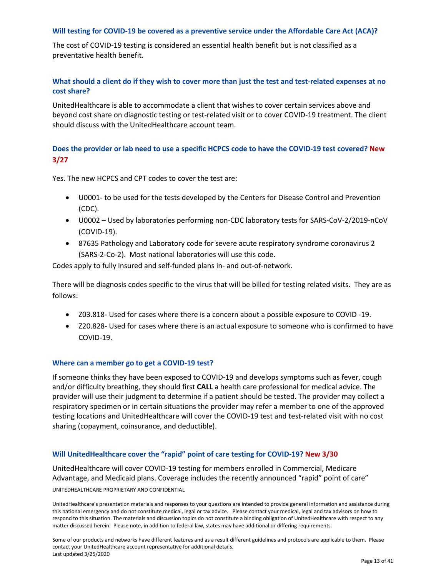#### **Will testing for COVID-19 be covered as a preventive service under the Affordable Care Act (ACA)?**

The cost of COVID-19 testing is considered an essential health benefit but is not classified as a preventative health benefit.

## **What should a client do if they wish to cover more than just the test and test-related expenses at no cost share?**

UnitedHealthcare is able to accommodate a client that wishes to cover certain services above and beyond cost share on diagnostic testing or test-related visit or to cover COVID-19 treatment. The client should discuss with the UnitedHealthcare account team.

## **Does the provider or lab need to use a specific HCPCS code to have the COVID-19 test covered? New 3/27**

Yes. The new HCPCS and CPT codes to cover the test are:

- U0001- to be used for the tests developed by the Centers for Disease Control and Prevention (CDC).
- U0002 Used by laboratories performing non-CDC laboratory tests for SARS-CoV-2/2019-nCoV (COVID-19).
- 87635 Pathology and Laboratory code for severe acute respiratory syndrome coronavirus 2 (SARS-2-Co-2). Most national laboratories will use this code.

Codes apply to fully insured and self-funded plans in- and out-of-network.

There will be diagnosis codes specific to the virus that will be billed for testing related visits. They are as follows:

- Z03.818- Used for cases where there is a concern about a possible exposure to COVID -19.
- Z20.828- Used for cases where there is an actual exposure to someone who is confirmed to have COVID-19.

#### **Where can a member go to get a COVID-19 test?**

If someone thinks they have been exposed to COVID-19 and develops symptoms such as fever, cough and/or difficulty breathing, they should first **CALL** a health care professional for medical advice. The provider will use their judgment to determine if a patient should be tested. The provider may collect a respiratory specimen or in certain situations the provider may refer a member to one of the approved testing locations and UnitedHealthcare will cover the COVID-19 test and test-related visit with no cost sharing (copayment, coinsurance, and deductible).

#### **Will UnitedHealthcare cover the "rapid" point of care testing for COVID-19? New 3/30**

UNITEDHEALTHCARE PROPRIETARY AND CONFIDENTIAL UnitedHealthcare will cover COVID-19 testing for members enrolled in Commercial, Medicare Advantage, and Medicaid plans. Coverage includes the recently announced "rapid" point of care"

UnitedHealthcare's presentation materials and responses to your questions are intended to provide general information and assistance during this national emergency and do not constitute medical, legal or tax advice. Please contact your medical, legal and tax advisors on how to respond to this situation. The materials and discussion topics do not constitute a binding obligation of UnitedHealthcare with respect to any matter discussed herein. Please note, in addition to federal law, states may have additional or differing requirements.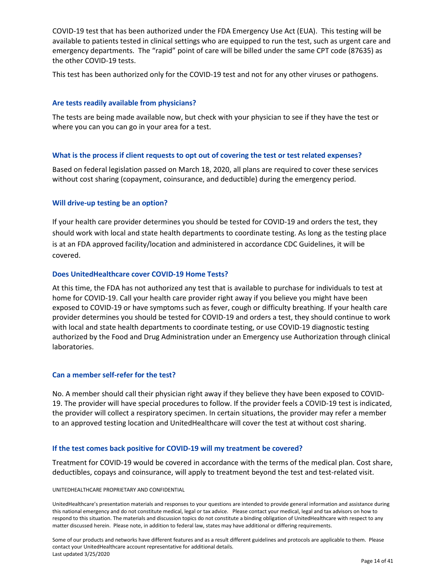COVID-19 test that has been authorized under the FDA Emergency Use Act (EUA). This testing will be available to patients tested in clinical settings who are equipped to run the test, such as urgent care and emergency departments. The "rapid" point of care will be billed under the same CPT code (87635) as the other COVID-19 tests.

This test has been authorized only for the COVID-19 test and not for any other viruses or pathogens.

### **Are tests readily available from physicians?**

The tests are being made available now, but check with your physician to see if they have the test or where you can you can go in your area for a test.

#### **What is the process if client requests to opt out of covering the test or test related expenses?**

Based on federal legislation passed on March 18, 2020, all plans are required to cover these services without cost sharing (copayment, coinsurance, and deductible) during the emergency period.

### **Will drive-up testing be an option?**

If your health care provider determines you should be tested for COVID-19 and orders the test, they should work with local and state health departments to coordinate testing. As long as the testing place is at an FDA approved facility/location and administered in accordance CDC Guidelines, it will be covered.

#### **Does UnitedHealthcare cover COVID-19 Home Tests?**

At this time, the FDA has not authorized any test that is available to purchase for individuals to test at home for COVID-19. Call your health care provider right away if you believe you might have been exposed to COVID-19 or have symptoms such as fever, cough or difficulty breathing. If your health care provider determines you should be tested for COVID-19 and orders a test, they should continue to work with local and state health departments to coordinate testing, or use COVID-19 diagnostic testing authorized by the Food and Drug Administration under an Emergency use Authorization through clinical laboratories.

#### **Can a member self-refer for the test?**

No. A member should call their physician right away if they believe they have been exposed to COVID-19. The provider will have special procedures to follow. If the provider feels a COVID-19 test is indicated, the provider will collect a respiratory specimen. In certain situations, the provider may refer a member to an approved testing location and UnitedHealthcare will cover the test at without cost sharing.

#### **If the test comes back positive for COVID-19 will my treatment be covered?**

Treatment for COVID-19 would be covered in accordance with the terms of the medical plan. Cost share, deductibles, copays and coinsurance, will apply to treatment beyond the test and test-related visit.

#### UNITEDHEALTHCARE PROPRIETARY AND CONFIDENTIAL

UnitedHealthcare's presentation materials and responses to your questions are intended to provide general information and assistance during this national emergency and do not constitute medical, legal or tax advice. Please contact your medical, legal and tax advisors on how to respond to this situation. The materials and discussion topics do not constitute a binding obligation of UnitedHealthcare with respect to any matter discussed herein. Please note, in addition to federal law, states may have additional or differing requirements.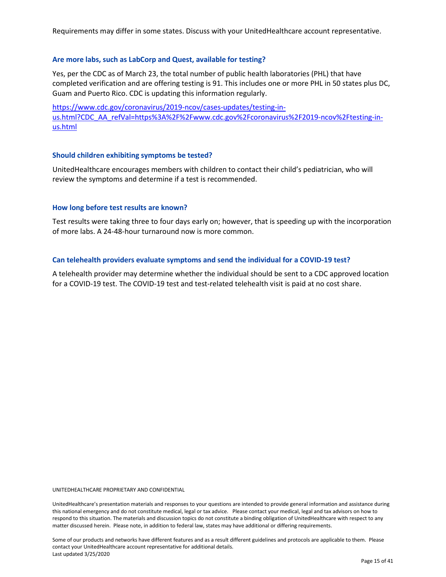Requirements may differ in some states. Discuss with your UnitedHealthcare account representative.

#### **Are more labs, such as LabCorp and Quest, available for testing?**

Yes, per the CDC as of March 23, the total number of public health laboratories (PHL) that have completed verification and are offering testing is 91. This includes one or more PHL in 50 states plus DC, Guam and Puerto Rico. CDC is updating this information regularly.

[https://www.cdc.gov/coronavirus/2019-ncov/cases-updates/testing-in](https://www.cdc.gov/coronavirus/2019-ncov/cases-updates/testing-in-us.html?CDC_AA_refVal=https%3A%2F%2Fwww.cdc.gov%2Fcoronavirus%2F2019-ncov%2Ftesting-in-us.html)[us.html?CDC\\_AA\\_refVal=https%3A%2F%2Fwww.cdc.gov%2Fcoronavirus%2F2019-ncov%2Ftesting-in](https://www.cdc.gov/coronavirus/2019-ncov/cases-updates/testing-in-us.html?CDC_AA_refVal=https%3A%2F%2Fwww.cdc.gov%2Fcoronavirus%2F2019-ncov%2Ftesting-in-us.html)[us.html](https://www.cdc.gov/coronavirus/2019-ncov/cases-updates/testing-in-us.html?CDC_AA_refVal=https%3A%2F%2Fwww.cdc.gov%2Fcoronavirus%2F2019-ncov%2Ftesting-in-us.html)

#### **Should children exhibiting symptoms be tested?**

UnitedHealthcare encourages members with children to contact their child's pediatrician, who will review the symptoms and determine if a test is recommended.

#### **How long before test results are known?**

Test results were taking three to four days early on; however, that is speeding up with the incorporation of more labs. A 24-48-hour turnaround now is more common.

#### **Can telehealth providers evaluate symptoms and send the individual for a COVID-19 test?**

A telehealth provider may determine whether the individual should be sent to a CDC approved location for a COVID-19 test. The COVID-19 test and test-related telehealth visit is paid at no cost share.

UNITEDHEALTHCARE PROPRIETARY AND CONFIDENTIAL

UnitedHealthcare's presentation materials and responses to your questions are intended to provide general information and assistance during this national emergency and do not constitute medical, legal or tax advice. Please contact your medical, legal and tax advisors on how to respond to this situation. The materials and discussion topics do not constitute a binding obligation of UnitedHealthcare with respect to any matter discussed herein. Please note, in addition to federal law, states may have additional or differing requirements.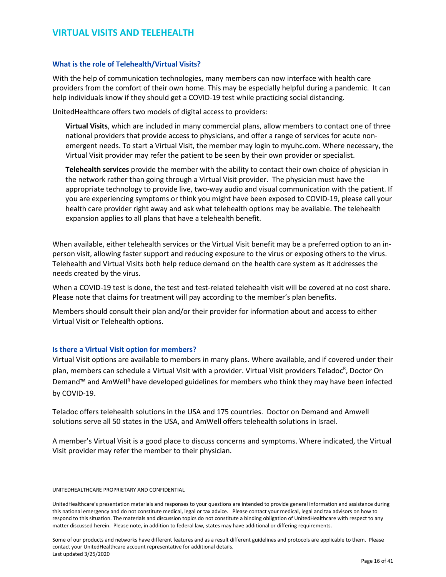## <span id="page-16-0"></span>**VIRTUAL VISITS AND TELEHEALTH**

#### **What is the role of Telehealth/Virtual Visits?**

With the help of communication technologies, many members can now interface with health care providers from the comfort of their own home. This may be especially helpful during a pandemic. It can help individuals know if they should get a COVID-19 test while practicing social distancing.

UnitedHealthcare offers two models of digital access to providers:

**Virtual Visits**, which are included in many commercial plans, allow members to contact one of three national providers that provide access to physicians, and offer a range of services for acute nonemergent needs. To start a Virtual Visit, the member may login to myuhc.com. Where necessary, the Virtual Visit provider may refer the patient to be seen by their own provider or specialist.

**Telehealth services** provide the member with the ability to contact their own choice of physician in the network rather than going through a Virtual Visit provider. The physician must have the appropriate technology to provide live, two-way audio and visual communication with the patient. If you are experiencing symptoms or think you might have been exposed to COVID-19, please call your health care provider right away and ask what telehealth options may be available. The telehealth expansion applies to all plans that have a telehealth benefit.

When available, either telehealth services or the Virtual Visit benefit may be a preferred option to an inperson visit, allowing faster support and reducing exposure to the virus or exposing others to the virus. Telehealth and Virtual Visits both help reduce demand on the health care system as it addresses the needs created by the virus.

When a COVID-19 test is done, the test and test-related telehealth visit will be covered at no cost share. Please note that claims for treatment will pay according to the member's plan benefits.

Members should consult their plan and/or their provider for information about and access to either Virtual Visit or Telehealth options.

#### **Is there a Virtual Visit option for members?**

Virtual Visit options are available to members in many plans. Where available, and if covered under their plan, members can schedule a Virtual Visit with a provider. Virtual Visit providers Teladoc<sup>R</sup>, Doctor On Demand™ and AmWell<sup>R</sup> have developed guidelines for members who think they may have been infected by COVID-19.

Teladoc offers telehealth solutions in the USA and 175 countries. Doctor on Demand and Amwell solutions serve all 50 states in the USA, and AmWell offers telehealth solutions in Israel.

A member's Virtual Visit is a good place to discuss concerns and symptoms. Where indicated, the Virtual Visit provider may refer the member to their physician.

#### UNITEDHEALTHCARE PROPRIETARY AND CONFIDENTIAL

UnitedHealthcare's presentation materials and responses to your questions are intended to provide general information and assistance during this national emergency and do not constitute medical, legal or tax advice. Please contact your medical, legal and tax advisors on how to respond to this situation. The materials and discussion topics do not constitute a binding obligation of UnitedHealthcare with respect to any matter discussed herein. Please note, in addition to federal law, states may have additional or differing requirements.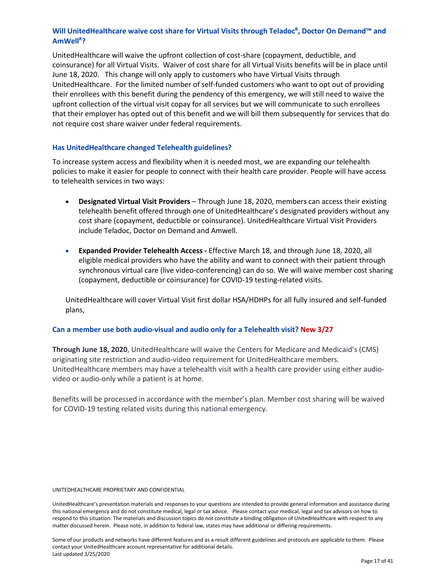## Will UnitedHealthcare waive cost share for Virtual Visits through Teladoc<sup>R</sup>, Doctor On Demand™ and **AmWellR ?**

UnitedHealthcare will waive the upfront collection of cost-share (copayment, deductible, and coinsurance) for all Virtual Visits. Waiver of cost share for all Virtual Visits benefits will be in place until June 18, 2020. This change will only apply to customers who have Virtual Visits through UnitedHealthcare. For the limited number of self-funded customers who want to opt out of providing their enrollees with this benefit during the pendency of this emergency, we will still need to waive the upfront collection of the virtual visit copay for all services but we will communicate to such enrollees that their employer has opted out of this benefit and we will bill them subsequently for services that do not require cost share waiver under federal requirements.

#### **Has UnitedHealthcare changed Telehealth guidelines?**

To increase system access and flexibility when it is needed most, we are expanding our telehealth policies to make it easier for people to connect with their health care provider. People will have access to telehealth services in two ways:

- **Designated Virtual Visit Providers** Through June 18, 2020, members can access their existing telehealth benefit offered through one of UnitedHealthcare's designated providers without any cost share (copayment, deductible or coinsurance). UnitedHealthcare Virtual Visit Providers include Teladoc, Doctor on Demand and Amwell.
- **Expanded Provider Telehealth Access -** Effective March 18, and through June 18, 2020, all eligible medical providers who have the ability and want to connect with their patient through synchronous virtual care (live video-conferencing) can do so. We will waive member cost sharing (copayment, deductible or coinsurance) for COVID-19 testing-related visits.

UnitedHealthcare will cover Virtual Visit first dollar HSA/HDHPs for all fully insured and self-funded plans,

#### **Can a member use both audio-visual and audio only for a Telehealth visit? New 3/27**

**Through June 18, 2020**, UnitedHealthcare will waive the Centers for Medicare and Medicaid's (CMS) originating site restriction and audio-video requirement for UnitedHealthcare members. UnitedHealthcare members may have a telehealth visit with a health care provider using either audiovideo or audio-only while a patient is at home.

Benefits will be processed in accordance with the member's plan. Member cost sharing will be waived for COVID-19 testing related visits during this national emergency.

#### UNITEDHEALTHCARE PROPRIETARY AND CONFIDENTIAL

UnitedHealthcare's presentation materials and responses to your questions are intended to provide general information and assistance during this national emergency and do not constitute medical, legal or tax advice. Please contact your medical, legal and tax advisors on how to respond to this situation. The materials and discussion topics do not constitute a binding obligation of UnitedHealthcare with respect to any matter discussed herein. Please note, in addition to federal law, states may have additional or differing requirements.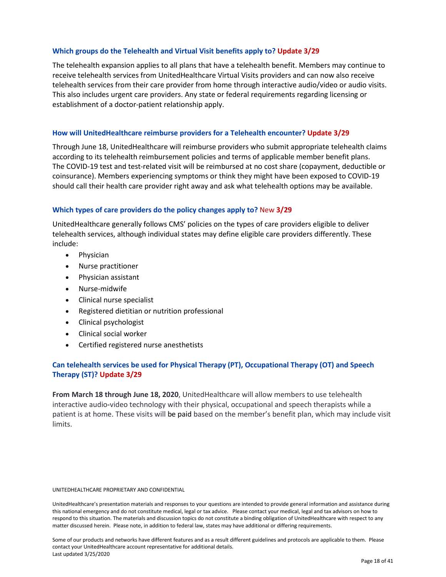### **Which groups do the Telehealth and Virtual Visit benefits apply to? Update 3/29**

The telehealth expansion applies to all plans that have a telehealth benefit. Members may continue to receive telehealth services from UnitedHealthcare Virtual Visits providers and can now also receive telehealth services from their care provider from home through interactive audio/video or audio visits. This also includes urgent care providers. Any state or federal requirements regarding licensing or establishment of a doctor-patient relationship apply.

#### **How will UnitedHealthcare reimburse providers for a Telehealth encounter? Update 3/29**

Through June 18, UnitedHealthcare will reimburse providers who submit appropriate telehealth claims according to its telehealth reimbursement policies and terms of applicable member benefit plans. The COVID-19 test and test-related visit will be reimbursed at no cost share (copayment, deductible or coinsurance). Members experiencing symptoms or think they might have been exposed to COVID-19 should call their health care provider right away and ask what telehealth options may be available.

### **Which types of care providers do the policy changes apply to?** New **3/29**

UnitedHealthcare generally follows CMS' policies on the types of care providers eligible to deliver telehealth services, although individual states may define eligible care providers differently. These include:

- Physician
- Nurse practitioner
- Physician assistant
- Nurse-midwife
- Clinical nurse specialist
- Registered dietitian or nutrition professional
- Clinical psychologist
- Clinical social worker
- Certified registered nurse anesthetists

## **Can telehealth services be used for Physical Therapy (PT), Occupational Therapy (OT) and Speech Therapy (ST)? Update 3/29**

**From March 18 through June 18, 2020**, UnitedHealthcare will allow members to use telehealth interactive audio-video technology with their physical, occupational and speech therapists while a patient is at home. These visits will be paid based on the member's benefit plan, which may include visit limits.

#### UNITEDHEALTHCARE PROPRIETARY AND CONFIDENTIAL

UnitedHealthcare's presentation materials and responses to your questions are intended to provide general information and assistance during this national emergency and do not constitute medical, legal or tax advice. Please contact your medical, legal and tax advisors on how to respond to this situation. The materials and discussion topics do not constitute a binding obligation of UnitedHealthcare with respect to any matter discussed herein. Please note, in addition to federal law, states may have additional or differing requirements.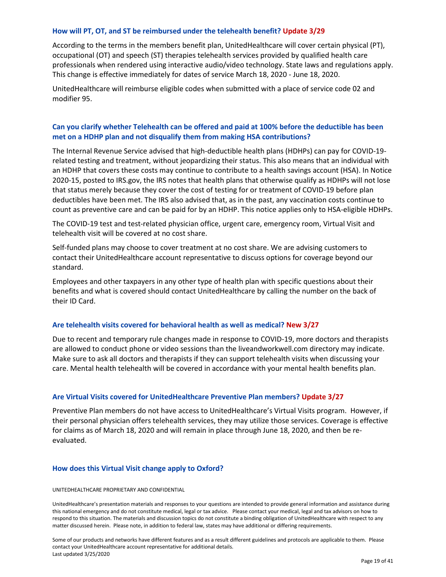#### **How will PT, OT, and ST be reimbursed under the telehealth benefit? Update 3/29**

According to the terms in the members benefit plan, UnitedHealthcare will cover certain physical (PT), occupational (OT) and speech (ST) therapies telehealth services provided by qualified health care professionals when rendered using interactive audio/video technology. State laws and regulations apply. This change is effective immediately for dates of service March 18, 2020 - June 18, 2020.

UnitedHealthcare will reimburse eligible codes when submitted with a place of service code 02 and modifier 95.

## **Can you clarify whether Telehealth can be offered and paid at 100% before the deductible has been met on a HDHP plan and not disqualify them from making HSA contributions?**

The Internal Revenue Service advised that high-deductible health plans (HDHPs) can pay for COVID-19 related testing and treatment, without jeopardizing their status. This also means that an individual with an HDHP that covers these costs may continue to contribute to a health savings account (HSA). In Notice 2020-15, posted to IRS.gov, the IRS notes that health plans that otherwise qualify as HDHPs will not lose that status merely because they cover the cost of testing for or treatment of COVID-19 before plan deductibles have been met. The IRS also advised that, as in the past, any vaccination costs continue to count as preventive care and can be paid for by an HDHP. This notice applies only to HSA-eligible HDHPs.

The COVID-19 test and test-related physician office, urgent care, emergency room, Virtual Visit and telehealth visit will be covered at no cost share.

Self-funded plans may choose to cover treatment at no cost share. We are advising customers to contact their UnitedHealthcare account representative to discuss options for coverage beyond our standard.

Employees and other taxpayers in any other type of health plan with specific questions about their benefits and what is covered should contact UnitedHealthcare by calling the number on the back of their ID Card.

#### **Are telehealth visits covered for behavioral health as well as medical? New 3/27**

Due to recent and temporary rule changes made in response to COVID-19, more doctors and therapists are allowed to conduct phone or video sessions than the liveandworkwell.com directory may indicate. Make sure to ask all doctors and therapists if they can support telehealth visits when discussing your care. Mental health telehealth will be covered in accordance with your mental health benefits plan.

#### **Are Virtual Visits covered for UnitedHealthcare Preventive Plan members? Update 3/27**

Preventive Plan members do not have access to UnitedHealthcare's Virtual Visits program. However, if their personal physician offers telehealth services, they may utilize those services. Coverage is effective for claims as of March 18, 2020 and will remain in place through June 18, 2020, and then be reevaluated.

#### **How does this Virtual Visit change apply to Oxford?**

#### UNITEDHEALTHCARE PROPRIETARY AND CONFIDENTIAL

UnitedHealthcare's presentation materials and responses to your questions are intended to provide general information and assistance during this national emergency and do not constitute medical, legal or tax advice. Please contact your medical, legal and tax advisors on how to respond to this situation. The materials and discussion topics do not constitute a binding obligation of UnitedHealthcare with respect to any matter discussed herein. Please note, in addition to federal law, states may have additional or differing requirements.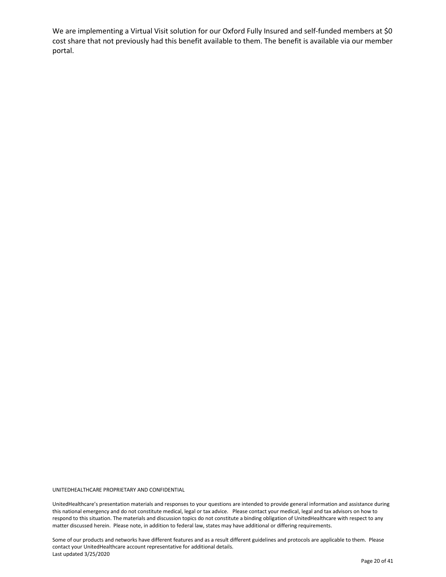We are implementing a Virtual Visit solution for our Oxford Fully Insured and self-funded members at \$0 cost share that not previously had this benefit available to them. The benefit is available via our member portal.

UNITEDHEALTHCARE PROPRIETARY AND CONFIDENTIAL

UnitedHealthcare's presentation materials and responses to your questions are intended to provide general information and assistance during this national emergency and do not constitute medical, legal or tax advice. Please contact your medical, legal and tax advisors on how to respond to this situation. The materials and discussion topics do not constitute a binding obligation of UnitedHealthcare with respect to any matter discussed herein. Please note, in addition to federal law, states may have additional or differing requirements.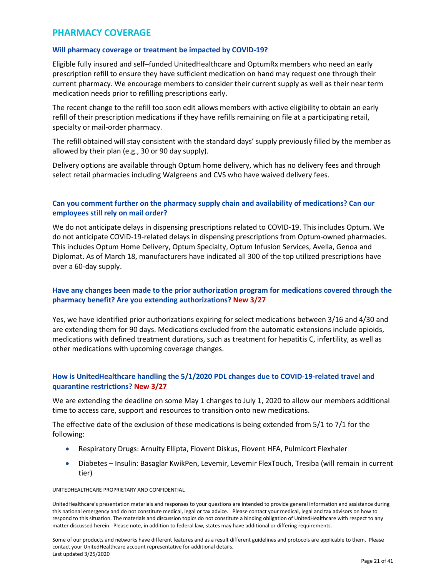## <span id="page-21-0"></span>**PHARMACY COVERAGE**

## **Will pharmacy coverage or treatment be impacted by COVID-19?**

Eligible fully insured and self–funded UnitedHealthcare and OptumRx members who need an early prescription refill to ensure they have sufficient medication on hand may request one through their current pharmacy. We encourage members to consider their current supply as well as their near term medication needs prior to refilling prescriptions early.

The recent change to the refill too soon edit allows members with active eligibility to obtain an early refill of their prescription medications if they have refills remaining on file at a participating retail, specialty or mail-order pharmacy.

The refill obtained will stay consistent with the standard days' supply previously filled by the member as allowed by their plan (e.g., 30 or 90 day supply).

Delivery options are available through Optum home delivery, which has no delivery fees and through select retail pharmacies including Walgreens and CVS who have waived delivery fees.

## **Can you comment further on the pharmacy supply chain and availability of medications? Can our employees still rely on mail order?**

We do not anticipate delays in dispensing prescriptions related to COVID-19. This includes Optum. We do not anticipate COVID-19-related delays in dispensing prescriptions from Optum-owned pharmacies. This includes Optum Home Delivery, Optum Specialty, Optum Infusion Services, Avella, Genoa and Diplomat. As of March 18, manufacturers have indicated all 300 of the top utilized prescriptions have over a 60-day supply.

## **Have any changes been made to the prior authorization program for medications covered through the pharmacy benefit? Are you extending authorizations? New 3/27**

Yes, we have identified prior authorizations expiring for select medications between 3/16 and 4/30 and are extending them for 90 days. Medications excluded from the automatic extensions include opioids, medications with defined treatment durations, such as treatment for hepatitis C, infertility, as well as other medications with upcoming coverage changes.

## **How is UnitedHealthcare handling the 5/1/2020 PDL changes due to COVID-19-related travel and quarantine restrictions? New 3/27**

We are extending the deadline on some May 1 changes to July 1, 2020 to allow our members additional time to access care, support and resources to transition onto new medications.

The effective date of the exclusion of these medications is being extended from 5/1 to 7/1 for the following:

- Respiratory Drugs: Arnuity Ellipta, Flovent Diskus, Flovent HFA, Pulmicort Flexhaler
- Diabetes Insulin: Basaglar KwikPen, Levemir, Levemir FlexTouch, Tresiba (will remain in current tier)

UNITEDHEALTHCARE PROPRIETARY AND CONFIDENTIAL

UnitedHealthcare's presentation materials and responses to your questions are intended to provide general information and assistance during this national emergency and do not constitute medical, legal or tax advice. Please contact your medical, legal and tax advisors on how to respond to this situation. The materials and discussion topics do not constitute a binding obligation of UnitedHealthcare with respect to any matter discussed herein. Please note, in addition to federal law, states may have additional or differing requirements.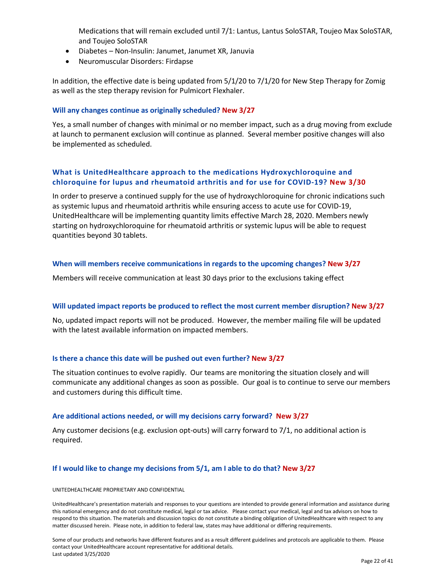Medications that will remain excluded until 7/1: Lantus, Lantus SoloSTAR, Toujeo Max SoloSTAR, and Toujeo SoloSTAR

- Diabetes Non-Insulin: Janumet, Janumet XR, Januvia
- Neuromuscular Disorders: Firdapse

In addition, the effective date is being updated from 5/1/20 to 7/1/20 for New Step Therapy for Zomig as well as the step therapy revision for Pulmicort Flexhaler.

### **Will any changes continue as originally scheduled? New 3/27**

Yes, a small number of changes with minimal or no member impact, such as a drug moving from exclude at launch to permanent exclusion will continue as planned. Several member positive changes will also be implemented as scheduled.

## **What is UnitedHealthcare approach to the medications Hydroxychloroquine and chloroquine for lupus and rheumatoid arthritis and for use for COVID-19? New 3/30**

In order to preserve a continued supply for the use of hydroxychloroquine for chronic indications such as systemic lupus and rheumatoid arthritis while ensuring access to acute use for COVID-19, UnitedHealthcare will be implementing quantity limits effective March 28, 2020. Members newly starting on hydroxychloroquine for rheumatoid arthritis or systemic lupus will be able to request quantities beyond 30 tablets.

### **When will members receive communications in regards to the upcoming changes? New 3/27**

Members will receive communication at least 30 days prior to the exclusions taking effect

#### **Will updated impact reports be produced to reflect the most current member disruption? New 3/27**

No, updated impact reports will not be produced. However, the member mailing file will be updated with the latest available information on impacted members.

#### **Is there a chance this date will be pushed out even further? New 3/27**

The situation continues to evolve rapidly. Our teams are monitoring the situation closely and will communicate any additional changes as soon as possible. Our goal is to continue to serve our members and customers during this difficult time.

#### **Are additional actions needed, or will my decisions carry forward? New 3/27**

Any customer decisions (e.g. exclusion opt-outs) will carry forward to 7/1, no additional action is required.

#### **If I would like to change my decisions from 5/1, am I able to do that? New 3/27**

#### UNITEDHEALTHCARE PROPRIETARY AND CONFIDENTIAL

UnitedHealthcare's presentation materials and responses to your questions are intended to provide general information and assistance during this national emergency and do not constitute medical, legal or tax advice. Please contact your medical, legal and tax advisors on how to respond to this situation. The materials and discussion topics do not constitute a binding obligation of UnitedHealthcare with respect to any matter discussed herein. Please note, in addition to federal law, states may have additional or differing requirements.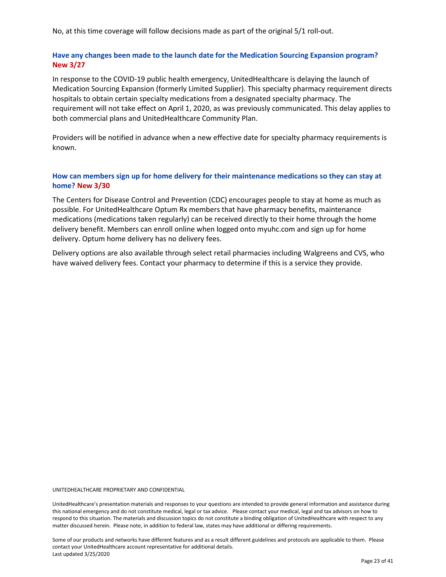No, at this time coverage will follow decisions made as part of the original 5/1 roll-out.

## **Have any changes been made to the launch date for the Medication Sourcing Expansion program? New 3/27**

In response to the COVID-19 public health emergency, UnitedHealthcare is delaying the launch of Medication Sourcing Expansion (formerly Limited Supplier). This specialty pharmacy requirement directs hospitals to obtain certain specialty medications from a designated specialty pharmacy. The requirement will not take effect on April 1, 2020, as was previously communicated. This delay applies to both commercial plans and UnitedHealthcare Community Plan.

Providers will be notified in advance when a new effective date for specialty pharmacy requirements is known.

## **How can members sign up for home delivery for their maintenance medications so they can stay at home? New 3/30**

The Centers for Disease Control and Prevention (CDC) encourages people to stay at home as much as possible. For UnitedHealthcare Optum Rx members that have pharmacy benefits, maintenance medications (medications taken regularly) can be received directly to their home through the home delivery benefit. Members can enroll online when logged onto myuhc.com and sign up for home delivery. Optum home delivery has no delivery fees.

Delivery options are also available through select retail pharmacies including Walgreens and CVS, who have waived delivery fees. Contact your pharmacy to determine if this is a service they provide.

UNITEDHEALTHCARE PROPRIETARY AND CONFIDENTIAL

UnitedHealthcare's presentation materials and responses to your questions are intended to provide general information and assistance during this national emergency and do not constitute medical, legal or tax advice. Please contact your medical, legal and tax advisors on how to respond to this situation. The materials and discussion topics do not constitute a binding obligation of UnitedHealthcare with respect to any matter discussed herein. Please note, in addition to federal law, states may have additional or differing requirements.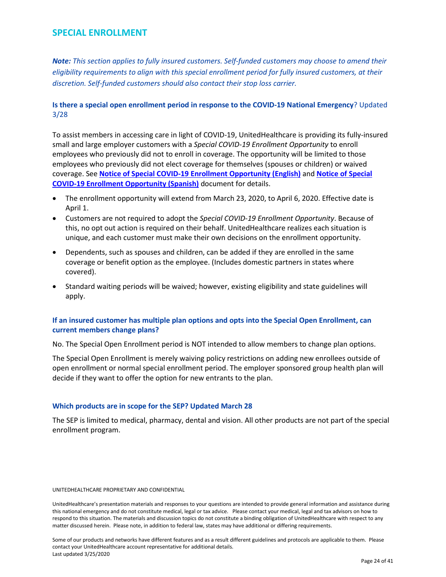## <span id="page-24-0"></span>**SPECIAL ENROLLMENT**

*Note: This section applies to fully insured customers. Self-funded customers may choose to amend their eligibility requirements to align with this special enrollment period for fully insured customers, at their discretion. Self-funded customers should also contact their stop loss carrier.*

## **Is there a special open enrollment period in response to the COVID-19 National Emergency**? Updated 3/28

To assist members in accessing care in light of COVID-19, UnitedHealthcare is providing its fully-insured small and large employer customers with a *Special COVID-19 Enrollment Opportunity* to enroll employees who previously did not to enroll in coverage. The opportunity will be limited to those employees who previously did not elect coverage for themselves (spouses or children) or waived coverage. See **[Notice of Special COVID-19 Enrollment Opportunity \(English\)](https://www.uhc.com/content/dam/uhcdotcom/en/Employers/PDF/covidnotice-of-specialenrollment-english-version.pdf)** and **[Notice of Special](https://www.uhc.com/content/dam/uhcdotcom/en/Employers/PDF/covidnotice-of-specialenrollment-spanish-version.pdf)  [COVID-19 Enrollment Opportunity \(Spanish\)](https://www.uhc.com/content/dam/uhcdotcom/en/Employers/PDF/covidnotice-of-specialenrollment-spanish-version.pdf)** document for details.

- The enrollment opportunity will extend from March 23, 2020, to April 6, 2020. Effective date is April 1.
- Customers are not required to adopt the *Special COVID-19 Enrollment Opportunity*. Because of this, no opt out action is required on their behalf. UnitedHealthcare realizes each situation is unique, and each customer must make their own decisions on the enrollment opportunity.
- Dependents, such as spouses and children, can be added if they are enrolled in the same coverage or benefit option as the employee. (Includes domestic partners in states where covered).
- Standard waiting periods will be waived; however, existing eligibility and state guidelines will apply.

## **If an insured customer has multiple plan options and opts into the Special Open Enrollment, can current members change plans?**

No. The Special Open Enrollment period is NOT intended to allow members to change plan options.

The Special Open Enrollment is merely waiving policy restrictions on adding new enrollees outside of open enrollment or normal special enrollment period. The employer sponsored group health plan will decide if they want to offer the option for new entrants to the plan.

## **Which products are in scope for the SEP? Updated March 28**

The SEP is limited to medical, pharmacy, dental and vision. All other products are not part of the special enrollment program.

#### UNITEDHEALTHCARE PROPRIETARY AND CONFIDENTIAL

UnitedHealthcare's presentation materials and responses to your questions are intended to provide general information and assistance during this national emergency and do not constitute medical, legal or tax advice. Please contact your medical, legal and tax advisors on how to respond to this situation. The materials and discussion topics do not constitute a binding obligation of UnitedHealthcare with respect to any matter discussed herein. Please note, in addition to federal law, states may have additional or differing requirements.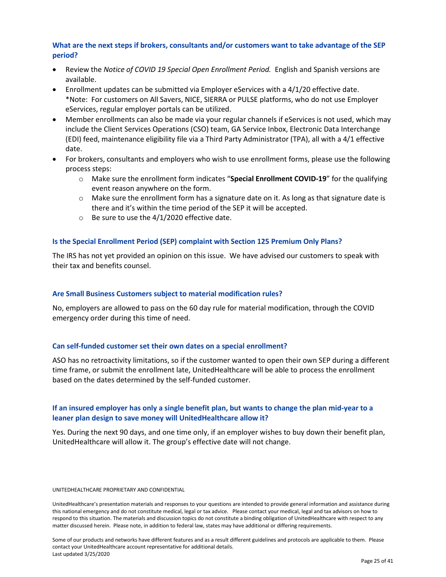## **What are the next steps if brokers, consultants and/or customers want to take advantage of the SEP period?**

- Review the *Notice of COVID 19 Special Open Enrollment Period.* English and Spanish versions are available.
- Enrollment updates can be submitted via Employer eServices with a 4/1/20 effective date. \*Note: For customers on All Savers, NICE, SIERRA or PULSE platforms, who do not use Employer eServices, regular employer portals can be utilized.
- Member enrollments can also be made via your regular channels if eServices is not used, which may include the Client Services Operations (CSO) team, GA Service Inbox, Electronic Data Interchange (EDI) feed, maintenance eligibility file via a Third Party Administrator (TPA), all with a 4/1 effective date.
- For brokers, consultants and employers who wish to use enrollment forms, please use the following process steps:
	- o Make sure the enrollment form indicates "**Special Enrollment COVID-19**" for the qualifying event reason anywhere on the form.
	- $\circ$  Make sure the enrollment form has a signature date on it. As long as that signature date is there and it's within the time period of the SEP it will be accepted.
	- o Be sure to use the 4/1/2020 effective date.

### **Is the Special Enrollment Period (SEP) complaint with Section 125 Premium Only Plans?**

The IRS has not yet provided an opinion on this issue. We have advised our customers to speak with their tax and benefits counsel.

#### **Are Small Business Customers subject to material modification rules?**

No, employers are allowed to pass on the 60 day rule for material modification, through the COVID emergency order during this time of need.

#### **Can self-funded customer set their own dates on a special enrollment?**

ASO has no retroactivity limitations, so if the customer wanted to open their own SEP during a different time frame, or submit the enrollment late, UnitedHealthcare will be able to process the enrollment based on the dates determined by the self-funded customer.

## **If an insured employer has only a single benefit plan, but wants to change the plan mid-year to a leaner plan design to save money will UnitedHealthcare allow it?**

Yes. During the next 90 days, and one time only, if an employer wishes to buy down their benefit plan, UnitedHealthcare will allow it. The group's effective date will not change.

#### UNITEDHEALTHCARE PROPRIETARY AND CONFIDENTIAL

UnitedHealthcare's presentation materials and responses to your questions are intended to provide general information and assistance during this national emergency and do not constitute medical, legal or tax advice. Please contact your medical, legal and tax advisors on how to respond to this situation. The materials and discussion topics do not constitute a binding obligation of UnitedHealthcare with respect to any matter discussed herein. Please note, in addition to federal law, states may have additional or differing requirements.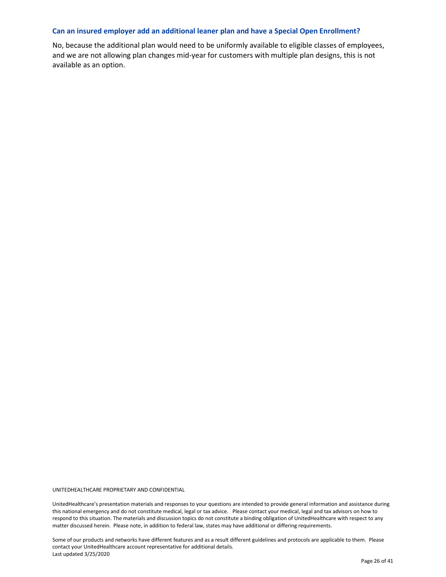#### **Can an insured employer add an additional leaner plan and have a Special Open Enrollment?**

No, because the additional plan would need to be uniformly available to eligible classes of employees, and we are not allowing plan changes mid-year for customers with multiple plan designs, this is not available as an option.

UNITEDHEALTHCARE PROPRIETARY AND CONFIDENTIAL

UnitedHealthcare's presentation materials and responses to your questions are intended to provide general information and assistance during this national emergency and do not constitute medical, legal or tax advice. Please contact your medical, legal and tax advisors on how to respond to this situation. The materials and discussion topics do not constitute a binding obligation of UnitedHealthcare with respect to any matter discussed herein. Please note, in addition to federal law, states may have additional or differing requirements.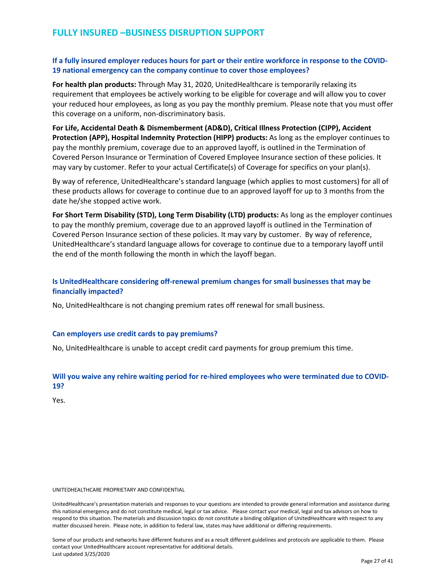## <span id="page-27-0"></span>**If a fully insured employer reduces hours for part or their entire workforce in response to the COVID-19 national emergency can the company continue to cover those employees?**

**For health plan products:** Through May 31, 2020, UnitedHealthcare is temporarily relaxing its requirement that employees be actively working to be eligible for coverage and will allow you to cover your reduced hour employees, as long as you pay the monthly premium. Please note that you must offer this coverage on a uniform, non-discriminatory basis.

**For Life, Accidental Death & Dismemberment (AD&D), Critical Illness Protection (CIPP), Accident Protection (APP), Hospital Indemnity Protection (HIPP) products:** As long as the employer continues to pay the monthly premium, coverage due to an approved layoff, is outlined in the Termination of Covered Person Insurance or Termination of Covered Employee Insurance section of these policies. It may vary by customer. Refer to your actual Certificate(s) of Coverage for specifics on your plan(s).

By way of reference, UnitedHealthcare's standard language (which applies to most customers) for all of these products allows for coverage to continue due to an approved layoff for up to 3 months from the date he/she stopped active work.

**For Short Term Disability (STD), Long Term Disability (LTD) products:** As long as the employer continues to pay the monthly premium, coverage due to an approved layoff is outlined in the Termination of Covered Person Insurance section of these policies. It may vary by customer. By way of reference, UnitedHealthcare's standard language allows for coverage to continue due to a temporary layoff until the end of the month following the month in which the layoff began.

## **Is UnitedHealthcare considering off-renewal premium changes for small businesses that may be financially impacted?**

No, UnitedHealthcare is not changing premium rates off renewal for small business.

#### **Can employers use credit cards to pay premiums?**

No, UnitedHealthcare is unable to accept credit card payments for group premium this time.

## **Will you waive any rehire waiting period for re-hired employees who were terminated due to COVID-19?**

Yes.

#### UNITEDHEALTHCARE PROPRIETARY AND CONFIDENTIAL

UnitedHealthcare's presentation materials and responses to your questions are intended to provide general information and assistance during this national emergency and do not constitute medical, legal or tax advice. Please contact your medical, legal and tax advisors on how to respond to this situation. The materials and discussion topics do not constitute a binding obligation of UnitedHealthcare with respect to any matter discussed herein. Please note, in addition to federal law, states may have additional or differing requirements.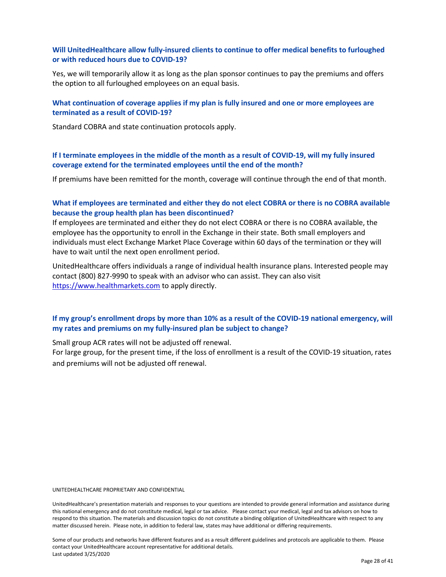## **Will UnitedHealthcare allow fully-insured clients to continue to offer medical benefits to furloughed or with reduced hours due to COVID-19?**

Yes, we will temporarily allow it as long as the plan sponsor continues to pay the premiums and offers the option to all furloughed employees on an equal basis.

## **What continuation of coverage applies if my plan is fully insured and one or more employees are terminated as a result of COVID-19?**

Standard COBRA and state continuation protocols apply.

**If I terminate employees in the middle of the month as a result of COVID-19, will my fully insured coverage extend for the terminated employees until the end of the month?**

If premiums have been remitted for the month, coverage will continue through the end of that month.

## **What if employees are terminated and either they do not elect COBRA or there is no COBRA available because the group health plan has been discontinued?**

If employees are terminated and either they do not elect COBRA or there is no COBRA available, the employee has the opportunity to enroll in the Exchange in their state. Both small employers and individuals must elect Exchange Market Place Coverage within 60 days of the termination or they will have to wait until the next open enrollment period.

UnitedHealthcare offers individuals a range of individual health insurance plans. Interested people may contact (800) 827-9990 to speak with an advisor who can assist. They can also visit [https://www.healthmarkets.com](https://www.healthmarkets.com/) to apply directly.

## **If my group's enrollment drops by more than 10% as a result of the COVID-19 national emergency, will my rates and premiums on my fully-insured plan be subject to change?**

Small group ACR rates will not be adjusted off renewal.

For large group, for the present time, if the loss of enrollment is a result of the COVID-19 situation, rates and premiums will not be adjusted off renewal.

UNITEDHEALTHCARE PROPRIETARY AND CONFIDENTIAL

UnitedHealthcare's presentation materials and responses to your questions are intended to provide general information and assistance during this national emergency and do not constitute medical, legal or tax advice. Please contact your medical, legal and tax advisors on how to respond to this situation. The materials and discussion topics do not constitute a binding obligation of UnitedHealthcare with respect to any matter discussed herein. Please note, in addition to federal law, states may have additional or differing requirements.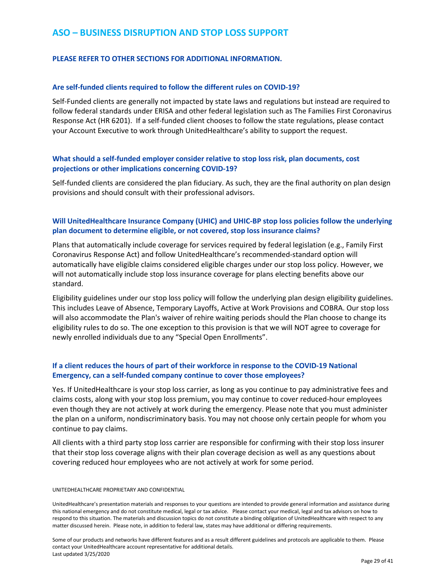## <span id="page-29-0"></span>**ASO – BUSINESS DISRUPTION AND STOP LOSS SUPPORT**

## **PLEASE REFER TO OTHER SECTIONS FOR ADDITIONAL INFORMATION.**

#### **Are self-funded clients required to follow the different rules on COVID-19?**

Self-Funded clients are generally not impacted by state laws and regulations but instead are required to follow federal standards under ERISA and other federal legislation such as The Families First Coronavirus Response Act (HR 6201). If a self-funded client chooses to follow the state regulations, please contact your Account Executive to work through UnitedHealthcare's ability to support the request.

## **What should a self-funded employer consider relative to stop loss risk, plan documents, cost projections or other implications concerning COVID-19?**

Self-funded clients are considered the plan fiduciary. As such, they are the final authority on plan design provisions and should consult with their professional advisors.

## **Will UnitedHealthcare Insurance Company (UHIC) and UHIC-BP stop loss policies follow the underlying plan document to determine eligible, or not covered, stop loss insurance claims?**

Plans that automatically include coverage for services required by federal legislation (e.g., Family First Coronavirus Response Act) and follow UnitedHealthcare's recommended-standard option will automatically have eligible claims considered eligible charges under our stop loss policy. However, we will not automatically include stop loss insurance coverage for plans electing benefits above our standard.

Eligibility guidelines under our stop loss policy will follow the underlying plan design eligibility guidelines. This includes Leave of Absence, Temporary Layoffs, Active at Work Provisions and COBRA. Our stop loss will also accommodate the Plan's waiver of rehire waiting periods should the Plan choose to change its eligibility rules to do so. The one exception to this provision is that we will NOT agree to coverage for newly enrolled individuals due to any "Special Open Enrollments".

## **If a client reduces the hours of part of their workforce in response to the COVID-19 National Emergency, can a self-funded company continue to cover those employees?**

Yes. If UnitedHealthcare is your stop loss carrier, as long as you continue to pay administrative fees and claims costs, along with your stop loss premium, you may continue to cover reduced-hour employees even though they are not actively at work during the emergency. Please note that you must administer the plan on a uniform, nondiscriminatory basis. You may not choose only certain people for whom you continue to pay claims.

All clients with a third party stop loss carrier are responsible for confirming with their stop loss insurer that their stop loss coverage aligns with their plan coverage decision as well as any questions about covering reduced hour employees who are not actively at work for some period.

#### UNITEDHEALTHCARE PROPRIETARY AND CONFIDENTIAL

UnitedHealthcare's presentation materials and responses to your questions are intended to provide general information and assistance during this national emergency and do not constitute medical, legal or tax advice. Please contact your medical, legal and tax advisors on how to respond to this situation. The materials and discussion topics do not constitute a binding obligation of UnitedHealthcare with respect to any matter discussed herein. Please note, in addition to federal law, states may have additional or differing requirements.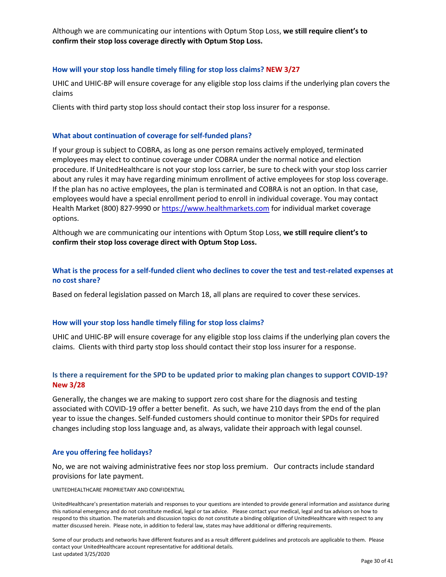Although we are communicating our intentions with Optum Stop Loss, **we still require client's to confirm their stop loss coverage directly with Optum Stop Loss.** 

#### **How will your stop loss handle timely filing for stop loss claims? NEW 3/27**

UHIC and UHIC-BP will ensure coverage for any eligible stop loss claims if the underlying plan covers the claims

Clients with third party stop loss should contact their stop loss insurer for a response.

#### **What about continuation of coverage for self-funded plans?**

If your group is subject to COBRA, as long as one person remains actively employed, terminated employees may elect to continue coverage under COBRA under the normal notice and election procedure. If UnitedHealthcare is not your stop loss carrier, be sure to check with your stop loss carrier about any rules it may have regarding minimum enrollment of active employees for stop loss coverage. If the plan has no active employees, the plan is terminated and COBRA is not an option. In that case, employees would have a special enrollment period to enroll in individual coverage. You may contact Health Market (800) 827-9990 or [https://www.healthmarkets.com](https://www.healthmarkets.com/) for individual market coverage options.

Although we are communicating our intentions with Optum Stop Loss, **we still require client's to confirm their stop loss coverage direct with Optum Stop Loss.** 

## **What is the process for a self-funded client who declines to cover the test and test-related expenses at no cost share?**

Based on federal legislation passed on March 18, all plans are required to cover these services.

#### **How will your stop loss handle timely filing for stop loss claims?**

UHIC and UHIC-BP will ensure coverage for any eligible stop loss claims if the underlying plan covers the claims. Clients with third party stop loss should contact their stop loss insurer for a response.

## **Is there a requirement for the SPD to be updated prior to making plan changes to support COVID-19? New 3/28**

Generally, the changes we are making to support zero cost share for the diagnosis and testing associated with COVID-19 offer a better benefit. As such, we have 210 days from the end of the plan year to issue the changes. Self-funded customers should continue to monitor their SPDs for required changes including stop loss language and, as always, validate their approach with legal counsel.

#### **Are you offering fee holidays?**

No, we are not waiving administrative fees nor stop loss premium. Our contracts include standard provisions for late payment.

UNITEDHEALTHCARE PROPRIETARY AND CONFIDENTIAL

UnitedHealthcare's presentation materials and responses to your questions are intended to provide general information and assistance during this national emergency and do not constitute medical, legal or tax advice. Please contact your medical, legal and tax advisors on how to respond to this situation. The materials and discussion topics do not constitute a binding obligation of UnitedHealthcare with respect to any matter discussed herein. Please note, in addition to federal law, states may have additional or differing requirements.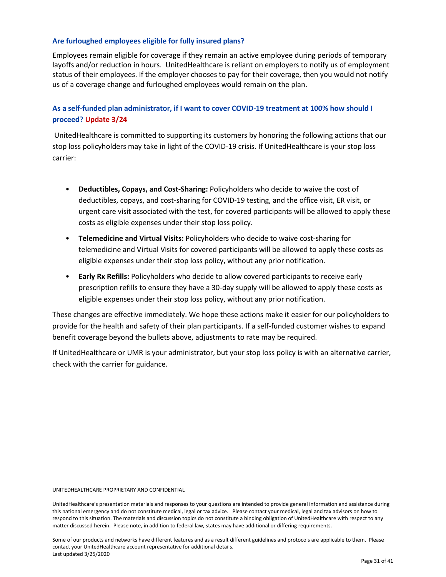## **Are furloughed employees eligible for fully insured plans?**

Employees remain eligible for coverage if they remain an active employee during periods of temporary layoffs and/or reduction in hours. UnitedHealthcare is reliant on employers to notify us of employment status of their employees. If the employer chooses to pay for their coverage, then you would not notify us of a coverage change and furloughed employees would remain on the plan.

## **As a self-funded plan administrator, if I want to cover COVID-19 treatment at 100% how should I proceed? Update 3/24**

UnitedHealthcare is committed to supporting its customers by honoring the following actions that our stop loss policyholders may take in light of the COVID-19 crisis. If UnitedHealthcare is your stop loss carrier:

- **Deductibles, Copays, and Cost-Sharing:** Policyholders who decide to waive the cost of deductibles, copays, and cost-sharing for COVID-19 testing, and the office visit, ER visit, or urgent care visit associated with the test, for covered participants will be allowed to apply these costs as eligible expenses under their stop loss policy.
- **Telemedicine and Virtual Visits:** Policyholders who decide to waive cost-sharing for telemedicine and Virtual Visits for covered participants will be allowed to apply these costs as eligible expenses under their stop loss policy, without any prior notification.
- **Early Rx Refills:** Policyholders who decide to allow covered participants to receive early prescription refills to ensure they have a 30-day supply will be allowed to apply these costs as eligible expenses under their stop loss policy, without any prior notification.

These changes are effective immediately. We hope these actions make it easier for our policyholders to provide for the health and safety of their plan participants. If a self-funded customer wishes to expand benefit coverage beyond the bullets above, adjustments to rate may be required.

If UnitedHealthcare or UMR is your administrator, but your stop loss policy is with an alternative carrier, check with the carrier for guidance.

#### UNITEDHEALTHCARE PROPRIETARY AND CONFIDENTIAL

UnitedHealthcare's presentation materials and responses to your questions are intended to provide general information and assistance during this national emergency and do not constitute medical, legal or tax advice. Please contact your medical, legal and tax advisors on how to respond to this situation. The materials and discussion topics do not constitute a binding obligation of UnitedHealthcare with respect to any matter discussed herein. Please note, in addition to federal law, states may have additional or differing requirements.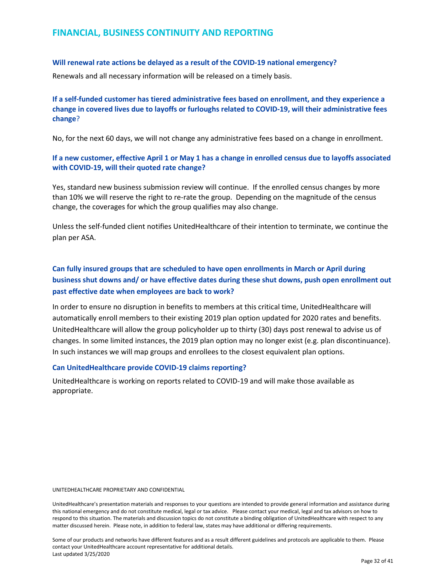## <span id="page-32-0"></span>**FINANCIAL, BUSINESS CONTINUITY AND REPORTING**

#### **Will renewal rate actions be delayed as a result of the COVID-19 national emergency?**

Renewals and all necessary information will be released on a timely basis.

## **If a self-funded customer has tiered administrative fees based on enrollment, and they experience a change in covered lives due to layoffs or furloughs related to COVID-19, will their administrative fees change**?

No, for the next 60 days, we will not change any administrative fees based on a change in enrollment.

## **If a new customer, effective April 1 or May 1 has a change in enrolled census due to layoffs associated with COVID-19, will their quoted rate change?**

Yes, standard new business submission review will continue. If the enrolled census changes by more than 10% we will reserve the right to re-rate the group. Depending on the magnitude of the census change, the coverages for which the group qualifies may also change.

Unless the self-funded client notifies UnitedHealthcare of their intention to terminate, we continue the plan per ASA.

## **Can fully insured groups that are scheduled to have open enrollments in March or April during business shut downs and/ or have effective dates during these shut downs, push open enrollment out past effective date when employees are back to work?**

In order to ensure no disruption in benefits to members at this critical time, UnitedHealthcare will automatically enroll members to their existing 2019 plan option updated for 2020 rates and benefits. UnitedHealthcare will allow the group policyholder up to thirty (30) days post renewal to advise us of changes. In some limited instances, the 2019 plan option may no longer exist (e.g. plan discontinuance). In such instances we will map groups and enrollees to the closest equivalent plan options.

#### **Can UnitedHealthcare provide COVID-19 claims reporting?**

UnitedHealthcare is working on reports related to COVID-19 and will make those available as appropriate.

#### UNITEDHEALTHCARE PROPRIETARY AND CONFIDENTIAL

UnitedHealthcare's presentation materials and responses to your questions are intended to provide general information and assistance during this national emergency and do not constitute medical, legal or tax advice. Please contact your medical, legal and tax advisors on how to respond to this situation. The materials and discussion topics do not constitute a binding obligation of UnitedHealthcare with respect to any matter discussed herein. Please note, in addition to federal law, states may have additional or differing requirements.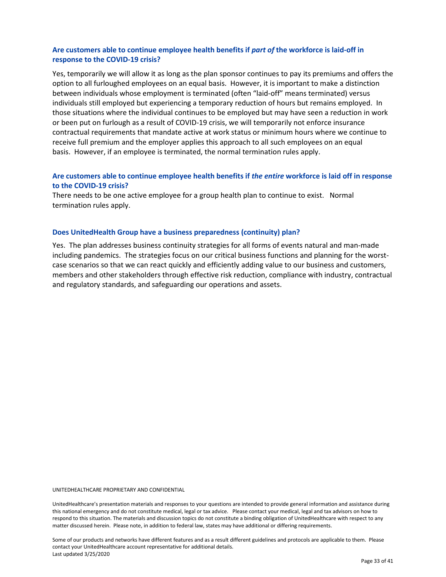## **Are customers able to continue employee health benefits if** *part of* **the workforce is laid-off in response to the COVID-19 crisis?**

Yes, temporarily we will allow it as long as the plan sponsor continues to pay its premiums and offers the option to all furloughed employees on an equal basis. However, it is important to make a distinction between individuals whose employment is terminated (often "laid-off" means terminated) versus individuals still employed but experiencing a temporary reduction of hours but remains employed. In those situations where the individual continues to be employed but may have seen a reduction in work or been put on furlough as a result of COVID-19 crisis, we will temporarily not enforce insurance contractual requirements that mandate active at work status or minimum hours where we continue to receive full premium and the employer applies this approach to all such employees on an equal basis. However, if an employee is terminated, the normal termination rules apply.

## **Are customers able to continue employee health benefits if** *the entire* **workforce is laid off in response to the COVID-19 crisis?**

There needs to be one active employee for a group health plan to continue to exist. Normal termination rules apply.

#### **Does UnitedHealth Group have a business preparedness (continuity) plan?**

Yes. The plan addresses business continuity strategies for all forms of events natural and man-made including pandemics. The strategies focus on our critical business functions and planning for the worstcase scenarios so that we can react quickly and efficiently adding value to our business and customers, members and other stakeholders through effective risk reduction, compliance with industry, contractual and regulatory standards, and safeguarding our operations and assets.

UNITEDHEALTHCARE PROPRIETARY AND CONFIDENTIAL

UnitedHealthcare's presentation materials and responses to your questions are intended to provide general information and assistance during this national emergency and do not constitute medical, legal or tax advice. Please contact your medical, legal and tax advisors on how to respond to this situation. The materials and discussion topics do not constitute a binding obligation of UnitedHealthcare with respect to any matter discussed herein. Please note, in addition to federal law, states may have additional or differing requirements.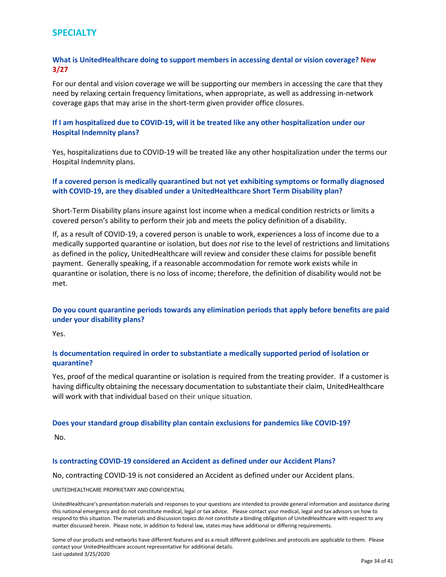## <span id="page-34-0"></span>**SPECIALTY**

## **What is UnitedHealthcare doing to support members in accessing dental or vision coverage? New 3/27**

For our dental and vision coverage we will be supporting our members in accessing the care that they need by relaxing certain frequency limitations, when appropriate, as well as addressing in-network coverage gaps that may arise in the short-term given provider office closures.

## **If I am hospitalized due to COVID-19, will it be treated like any other hospitalization under our Hospital Indemnity plans?**

Yes, hospitalizations due to COVID-19 will be treated like any other hospitalization under the terms our Hospital Indemnity plans.

## **If a covered person is medically quarantined but not yet exhibiting symptoms or formally diagnosed with COVID-19, are they disabled under a UnitedHealthcare Short Term Disability plan?**

Short-Term Disability plans insure against lost income when a medical condition restricts or limits a covered person's ability to perform their job and meets the policy definition of a disability.

If, as a result of COVID-19, a covered person is unable to work, experiences a loss of income due to a medically supported quarantine or isolation, but does *not* rise to the level of restrictions and limitations as defined in the policy, UnitedHealthcare will review and consider these claims for possible benefit payment. Generally speaking, if a reasonable accommodation for remote work exists while in quarantine or isolation, there is no loss of income; therefore, the definition of disability would not be met.

## **Do you count quarantine periods towards any elimination periods that apply before benefits are paid under your disability plans?**

Yes.

## **Is documentation required in order to substantiate a medically supported period of isolation or quarantine?**

Yes, proof of the medical quarantine or isolation is required from the treating provider. If a customer is having difficulty obtaining the necessary documentation to substantiate their claim, UnitedHealthcare will work with that individual based on their unique situation.

#### **Does your standard group disability plan contain exclusions for pandemics like COVID-19?**

No.

#### **Is contracting COVID-19 considered an Accident as defined under our Accident Plans?**

No, contracting COVID-19 is not considered an Accident as defined under our Accident plans.

#### UNITEDHEALTHCARE PROPRIETARY AND CONFIDENTIAL

UnitedHealthcare's presentation materials and responses to your questions are intended to provide general information and assistance during this national emergency and do not constitute medical, legal or tax advice. Please contact your medical, legal and tax advisors on how to respond to this situation. The materials and discussion topics do not constitute a binding obligation of UnitedHealthcare with respect to any matter discussed herein. Please note, in addition to federal law, states may have additional or differing requirements.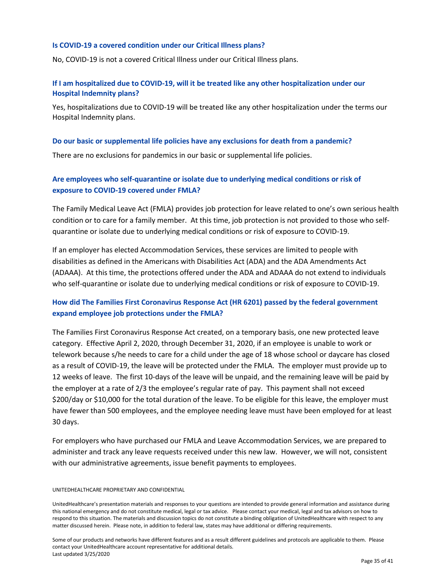#### **Is COVID-19 a covered condition under our Critical Illness plans?**

No, COVID-19 is not a covered Critical Illness under our Critical Illness plans.

## **If I am hospitalized due to COVID-19, will it be treated like any other hospitalization under our Hospital Indemnity plans?**

Yes, hospitalizations due to COVID-19 will be treated like any other hospitalization under the terms our Hospital Indemnity plans.

#### **Do our basic or supplemental life policies have any exclusions for death from a pandemic?**

There are no exclusions for pandemics in our basic or supplemental life policies.

## **Are employees who self-quarantine or isolate due to underlying medical conditions or risk of exposure to COVID-19 covered under FMLA?**

The Family Medical Leave Act (FMLA) provides job protection for leave related to one's own serious health condition or to care for a family member. At this time, job protection is not provided to those who selfquarantine or isolate due to underlying medical conditions or risk of exposure to COVID-19.

If an employer has elected Accommodation Services, these services are limited to people with disabilities as defined in the Americans with Disabilities Act (ADA) and the ADA Amendments Act (ADAAA). At this time, the protections offered under the ADA and ADAAA do not extend to individuals who self-quarantine or isolate due to underlying medical conditions or risk of exposure to COVID-19.

## **How did The Families First Coronavirus Response Act (HR 6201) passed by the federal government expand employee job protections under the FMLA?**

The Families First Coronavirus Response Act created, on a temporary basis, one new protected leave category. Effective April 2, 2020, through December 31, 2020, if an employee is unable to work or telework because s/he needs to care for a child under the age of 18 whose school or daycare has closed as a result of COVID-19, the leave will be protected under the FMLA. The employer must provide up to 12 weeks of leave. The first 10-days of the leave will be unpaid, and the remaining leave will be paid by the employer at a rate of 2/3 the employee's regular rate of pay. This payment shall not exceed \$200/day or \$10,000 for the total duration of the leave. To be eligible for this leave, the employer must have fewer than 500 employees, and the employee needing leave must have been employed for at least 30 days.

For employers who have purchased our FMLA and Leave Accommodation Services, we are prepared to administer and track any leave requests received under this new law. However, we will not, consistent with our administrative agreements, issue benefit payments to employees.

#### UNITEDHEALTHCARE PROPRIETARY AND CONFIDENTIAL

UnitedHealthcare's presentation materials and responses to your questions are intended to provide general information and assistance during this national emergency and do not constitute medical, legal or tax advice. Please contact your medical, legal and tax advisors on how to respond to this situation. The materials and discussion topics do not constitute a binding obligation of UnitedHealthcare with respect to any matter discussed herein. Please note, in addition to federal law, states may have additional or differing requirements.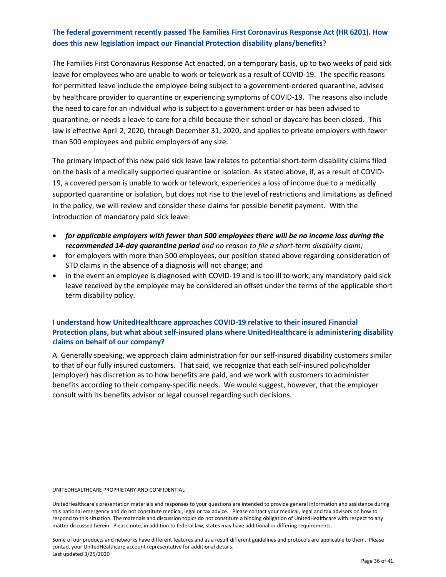## **The federal government recently passed The Families First Coronavirus Response Act (HR 6201). How does this new legislation impact our Financial Protection disability plans/benefits?**

The Families First Coronavirus Response Act enacted, on a temporary basis, up to two weeks of paid sick leave for employees who are unable to work or telework as a result of COVID-19. The specific reasons for permitted leave include the employee being subject to a government-ordered quarantine, advised by healthcare provider to quarantine or experiencing symptoms of COVID-19. The reasons also include the need to care for an individual who is subject to a government order or has been advised to quarantine, or needs a leave to care for a child because their school or daycare has been closed. This law is effective April 2, 2020, through December 31, 2020, and applies to private employers with fewer than 500 employees and public employers of any size.

The primary impact of this new paid sick leave law relates to potential short-term disability claims filed on the basis of a medically supported quarantine or isolation. As stated above, if, as a result of COVID-19, a covered person is unable to work or telework, experiences a loss of income due to a medically supported quarantine or isolation, but does not rise to the level of restrictions and limitations as defined in the policy, we will review and consider these claims for possible benefit payment. With the introduction of mandatory paid sick leave:

- *for applicable employers with fewer than 500 employees there will be no income loss during the recommended 14-day quarantine period and no reason to file a short-term disability claim;*
- for employers with more than 500 employees, our position stated above regarding consideration of STD claims in the absence of a diagnosis will not change; and
- in the event an employee is diagnosed with COVID-19 and is too ill to work, any mandatory paid sick leave received by the employee may be considered an offset under the terms of the applicable short term disability policy.

## **I understand how UnitedHealthcare approaches COVID-19 relative to their insured Financial Protection plans, but what about self-insured plans where UnitedHealthcare is administering disability claims on behalf of our company?**

A. Generally speaking, we approach claim administration for our self-insured disability customers similar to that of our fully insured customers. That said, we recognize that each self-insured policyholder (employer) has discretion as to how benefits are paid, and we work with customers to administer benefits according to their company-specific needs. We would suggest, however, that the employer consult with its benefits advisor or legal counsel regarding such decisions.

#### UNITEDHEALTHCARE PROPRIETARY AND CONFIDENTIAL

UnitedHealthcare's presentation materials and responses to your questions are intended to provide general information and assistance during this national emergency and do not constitute medical, legal or tax advice. Please contact your medical, legal and tax advisors on how to respond to this situation. The materials and discussion topics do not constitute a binding obligation of UnitedHealthcare with respect to any matter discussed herein. Please note, in addition to federal law, states may have additional or differing requirements.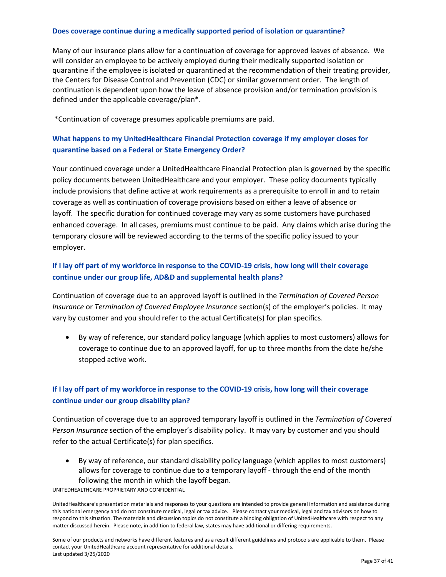#### **Does coverage continue during a medically supported period of isolation or quarantine?**

Many of our insurance plans allow for a continuation of coverage for approved leaves of absence. We will consider an employee to be actively employed during their medically supported isolation or quarantine if the employee is isolated or quarantined at the recommendation of their treating provider, the Centers for Disease Control and Prevention (CDC) or similar government order. The length of continuation is dependent upon how the leave of absence provision and/or termination provision is defined under the applicable coverage/plan\*.

\*Continuation of coverage presumes applicable premiums are paid.

## **What happens to my UnitedHealthcare Financial Protection coverage if my employer closes for quarantine based on a Federal or State Emergency Order?**

Your continued coverage under a UnitedHealthcare Financial Protection plan is governed by the specific policy documents between UnitedHealthcare and your employer. These policy documents typically include provisions that define active at work requirements as a prerequisite to enroll in and to retain coverage as well as continuation of coverage provisions based on either a leave of absence or layoff. The specific duration for continued coverage may vary as some customers have purchased enhanced coverage. In all cases, premiums must continue to be paid. Any claims which arise during the temporary closure will be reviewed according to the terms of the specific policy issued to your employer.

## **If I lay off part of my workforce in response to the COVID-19 crisis, how long will their coverage continue under our group life, AD&D and supplemental health plans?**

Continuation of coverage due to an approved layoff is outlined in the *Termination of Covered Person Insurance* or *Termination of Covered Employee Insurance* section(s) of the employer's policies. It may vary by customer and you should refer to the actual Certificate(s) for plan specifics.

• By way of reference, our standard policy language (which applies to most customers) allows for coverage to continue due to an approved layoff, for up to three months from the date he/she stopped active work.

## **If I lay off part of my workforce in response to the COVID-19 crisis, how long will their coverage continue under our group disability plan?**

Continuation of coverage due to an approved temporary layoff is outlined in the *Termination of Covered Person Insurance* section of the employer's disability policy. It may vary by customer and you should refer to the actual Certificate(s) for plan specifics.

• By way of reference, our standard disability policy language (which applies to most customers) allows for coverage to continue due to a temporary layoff - through the end of the month following the month in which the layoff began.

UNITEDHEALTHCARE PROPRIETARY AND CONFIDENTIAL

UnitedHealthcare's presentation materials and responses to your questions are intended to provide general information and assistance during this national emergency and do not constitute medical, legal or tax advice. Please contact your medical, legal and tax advisors on how to respond to this situation. The materials and discussion topics do not constitute a binding obligation of UnitedHealthcare with respect to any matter discussed herein. Please note, in addition to federal law, states may have additional or differing requirements.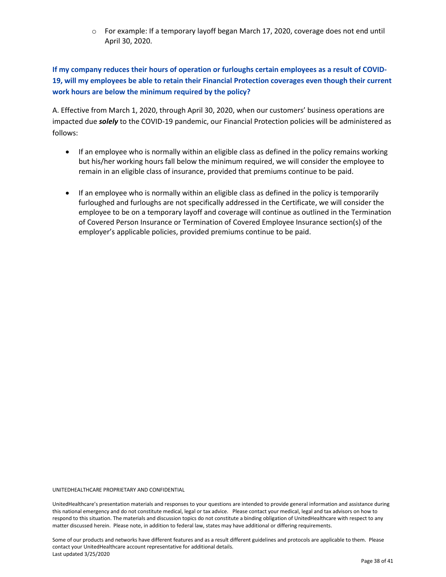o For example: If a temporary layoff began March 17, 2020, coverage does not end until April 30, 2020.

**If my company reduces their hours of operation or furloughs certain employees as a result of COVID-19, will my employees be able to retain their Financial Protection coverages even though their current work hours are below the minimum required by the policy?** 

A. Effective from March 1, 2020, through April 30, 2020, when our customers' business operations are impacted due *solely* to the COVID-19 pandemic, our Financial Protection policies will be administered as follows:

- If an employee who is normally within an eligible class as defined in the policy remains working but his/her working hours fall below the minimum required, we will consider the employee to remain in an eligible class of insurance, provided that premiums continue to be paid.
- If an employee who is normally within an eligible class as defined in the policy is temporarily furloughed and furloughs are not specifically addressed in the Certificate, we will consider the employee to be on a temporary layoff and coverage will continue as outlined in the Termination of Covered Person Insurance or Termination of Covered Employee Insurance section(s) of the employer's applicable policies, provided premiums continue to be paid.

UNITEDHEALTHCARE PROPRIETARY AND CONFIDENTIAL

UnitedHealthcare's presentation materials and responses to your questions are intended to provide general information and assistance during this national emergency and do not constitute medical, legal or tax advice. Please contact your medical, legal and tax advisors on how to respond to this situation. The materials and discussion topics do not constitute a binding obligation of UnitedHealthcare with respect to any matter discussed herein. Please note, in addition to federal law, states may have additional or differing requirements.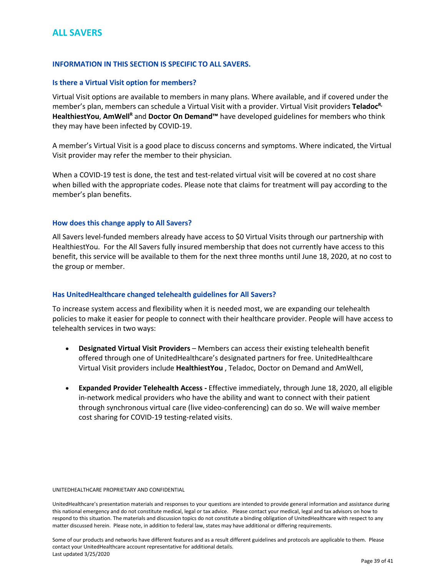## <span id="page-39-0"></span>**ALL SAVERS**

#### **INFORMATION IN THIS SECTION IS SPECIFIC TO ALL SAVERS.**

#### **Is there a Virtual Visit option for members?**

Virtual Visit options are available to members in many plans. Where available, and if covered under the member's plan, members can schedule a Virtual Visit with a provider. Virtual Visit providers **TeladocR,**  HealthiestYou, AmWell<sup>R</sup> and Doctor On Demand<sup>™</sup> have developed guidelines for members who think they may have been infected by COVID-19.

A member's Virtual Visit is a good place to discuss concerns and symptoms. Where indicated, the Virtual Visit provider may refer the member to their physician.

When a COVID-19 test is done, the test and test-related virtual visit will be covered at no cost share when billed with the appropriate codes. Please note that claims for treatment will pay according to the member's plan benefits.

#### **How does this change apply to All Savers?**

All Savers level-funded members already have access to \$0 Virtual Visits through our partnership with HealthiestYou. For the All Savers fully insured membership that does not currently have access to this benefit, this service will be available to them for the next three months until June 18, 2020, at no cost to the group or member.

#### **Has UnitedHealthcare changed telehealth guidelines for All Savers?**

To increase system access and flexibility when it is needed most, we are expanding our telehealth policies to make it easier for people to connect with their healthcare provider. People will have access to telehealth services in two ways:

- **Designated Virtual Visit Providers** Members can access their existing telehealth benefit offered through one of UnitedHealthcare's designated partners for free. UnitedHealthcare Virtual Visit providers include **HealthiestYou** , Teladoc, Doctor on Demand and AmWell,
- **Expanded Provider Telehealth Access -** Effective immediately, through June 18, 2020, all eligible in-network medical providers who have the ability and want to connect with their patient through synchronous virtual care (live video-conferencing) can do so. We will waive member cost sharing for COVID-19 testing-related visits.

#### UNITEDHEALTHCARE PROPRIETARY AND CONFIDENTIAL

UnitedHealthcare's presentation materials and responses to your questions are intended to provide general information and assistance during this national emergency and do not constitute medical, legal or tax advice. Please contact your medical, legal and tax advisors on how to respond to this situation. The materials and discussion topics do not constitute a binding obligation of UnitedHealthcare with respect to any matter discussed herein. Please note, in addition to federal law, states may have additional or differing requirements.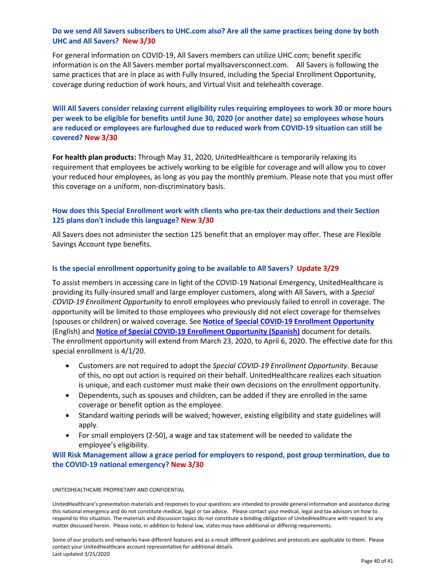## **Do we send All Savers subscribers to UHC.com also? Are all the same practices being done by both UHC and All Savers? New 3/30**

For general information on COVID-19, All Savers members can utilize UHC.com; benefit specific information is on the All Savers member portal myallsaversconnect.com. All Savers is following the same practices that are in place as with Fully Insured, including the Special Enrollment Opportunity, coverage during reduction of work hours, and Virtual Visit and telehealth coverage.

**Will All Savers consider relaxing current eligibility rules requiring employees to work 30 or more hours per week to be eligible for benefits until June 30, 2020 (or another date) so employees whose hours are reduced or employees are furloughed due to reduced work from COVID-19 situation can still be covered? New 3/30**

**For health plan products:** Through May 31, 2020, UnitedHealthcare is temporarily relaxing its requirement that employees be actively working to be eligible for coverage and will allow you to cover your reduced hour employees, as long as you pay the monthly premium. Please note that you must offer this coverage on a uniform, non-discriminatory basis.

## **How does this Special Enrollment work with clients who pre-tax their deductions and their Section 125 plans don't include this language? New 3/30**

All Savers does not administer the section 125 benefit that an employer may offer. These are Flexible Savings Account type benefits.

### **Is the special enrollment opportunity going to be available to All Savers? Update 3/29**

To assist members in accessing care in light of the COVID-19 National Emergency, UnitedHealthcare is providing its fully-insured small and large employer customers, along with All Savers, with a *Special COVID-19 Enrollment Opportunity* to enroll employees who previously failed to enroll in coverage. The opportunity will be limited to those employees who previously did not elect coverage for themselves (spouses or children) or waived coverage. See **[Notice of Special COVID-19 Enrollment Opportunity](http://ctm.uhc.com/content/dam/ctm/ctm-document-assets/covid-notice-of-special-enrollment-english.docx)** (English) and **[Notice of Special COVID-19 Enrollment Opportunity \(Spanish\)](http://ctm.uhc.com/content/dam/ctm/ctm-document-assets/covid-notice-of-special-enrollment-spanish.docx)** document for details. The enrollment opportunity will extend from March 23, 2020, to April 6, 2020. The effective date for this special enrollment is 4/1/20.

- Customers are not required to adopt the *Special COVID-19 Enrollment Opportunity*. Because of this, no opt out action is required on their behalf. UnitedHealthcare realizes each situation is unique, and each customer must make their own decisions on the enrollment opportunity.
- Dependents, such as spouses and children, can be added if they are enrolled in the same coverage or benefit option as the employee.
- Standard waiting periods will be waived; however, existing eligibility and state guidelines will apply.
- For small employers (2-50), a wage and tax statement will be needed to validate the employee's eligibility.

## **Will Risk Management allow a grace period for employers to respond, post group termination, due to the COVID-19 national emergency? New 3/30**

#### UNITEDHEALTHCARE PROPRIETARY AND CONFIDENTIAL

UnitedHealthcare's presentation materials and responses to your questions are intended to provide general information and assistance during this national emergency and do not constitute medical, legal or tax advice. Please contact your medical, legal and tax advisors on how to respond to this situation. The materials and discussion topics do not constitute a binding obligation of UnitedHealthcare with respect to any matter discussed herein. Please note, in addition to federal law, states may have additional or differing requirements.